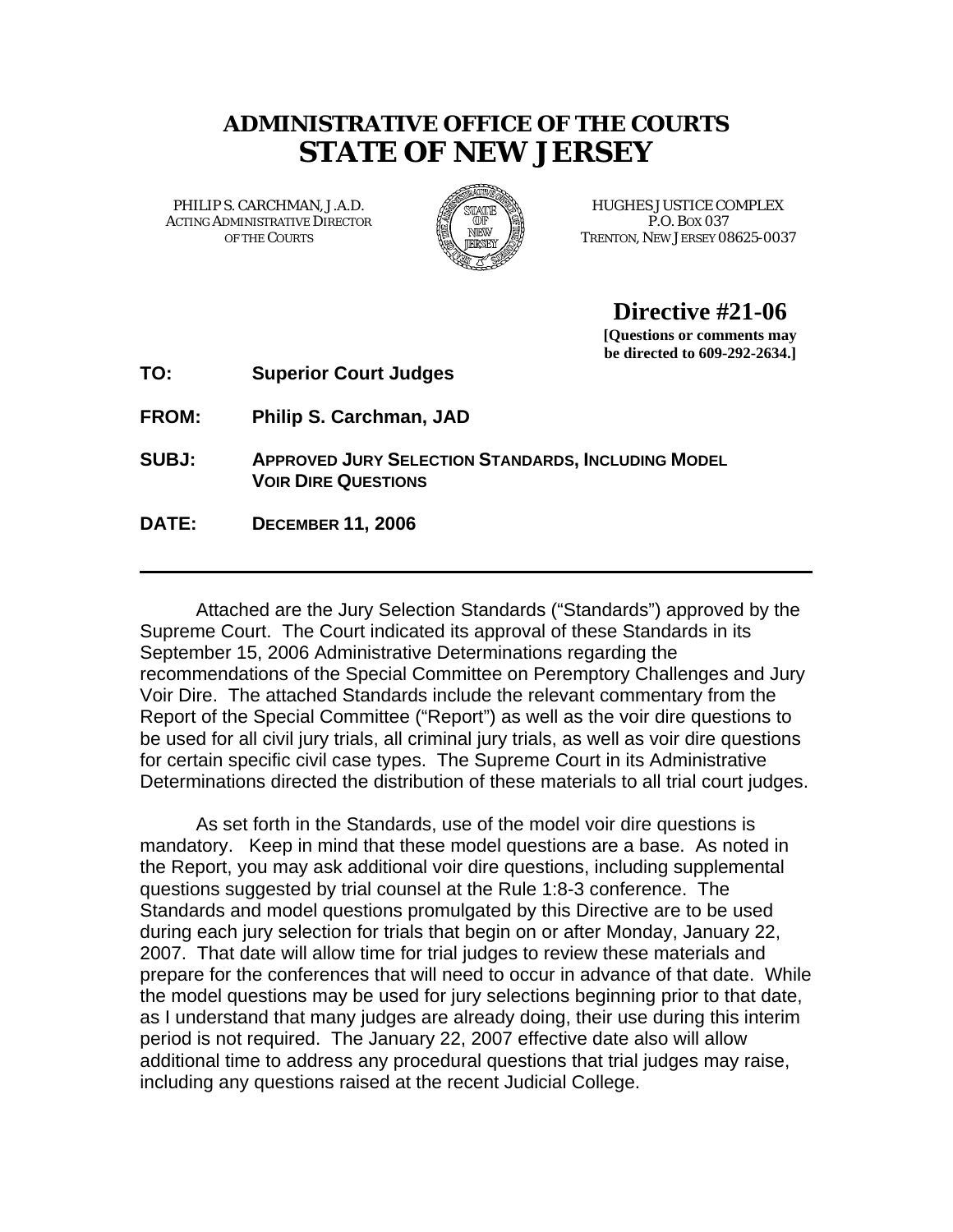# **ADMINISTRATIVE OFFICE OF THE COURTS STATE OF NEW JERSEY**

ACTING ADMINISTRATIVE DIRECTOR FOR THE P.O. BOX 037



PHILIP S. CARCHMAN, J.A.D. **EXAMPLES AND HUGHES JUSTICE COMPLEX** OF THE COURTS TRENTON, NEW JERSEY 08625-0037

**Directive #21-06**

**[Questions or comments may be directed to 609-292-2634.]** 

**TO: Superior Court Judges** 

**FROM: Philip S. Carchman, JAD** 

- **SUBJ: APPROVED JURY SELECTION STANDARDS, INCLUDING MODEL VOIR DIRE QUESTIONS**
- **DATE: DECEMBER 11, 2006**

Attached are the Jury Selection Standards ("Standards") approved by the Supreme Court. The Court indicated its approval of these Standards in its September 15, 2006 Administrative Determinations regarding the recommendations of the Special Committee on Peremptory Challenges and Jury Voir Dire. The attached Standards include the relevant commentary from the Report of the Special Committee ("Report") as well as the voir dire questions to be used for all civil jury trials, all criminal jury trials, as well as voir dire questions for certain specific civil case types. The Supreme Court in its Administrative Determinations directed the distribution of these materials to all trial court judges.

As set forth in the Standards, use of the model voir dire questions is mandatory. Keep in mind that these model questions are a base. As noted in the Report, you may ask additional voir dire questions, including supplemental questions suggested by trial counsel at the Rule 1:8-3 conference. The Standards and model questions promulgated by this Directive are to be used during each jury selection for trials that begin on or after Monday, January 22, 2007. That date will allow time for trial judges to review these materials and prepare for the conferences that will need to occur in advance of that date. While the model questions may be used for jury selections beginning prior to that date, as I understand that many judges are already doing, their use during this interim period is not required. The January 22, 2007 effective date also will allow additional time to address any procedural questions that trial judges may raise, including any questions raised at the recent Judicial College.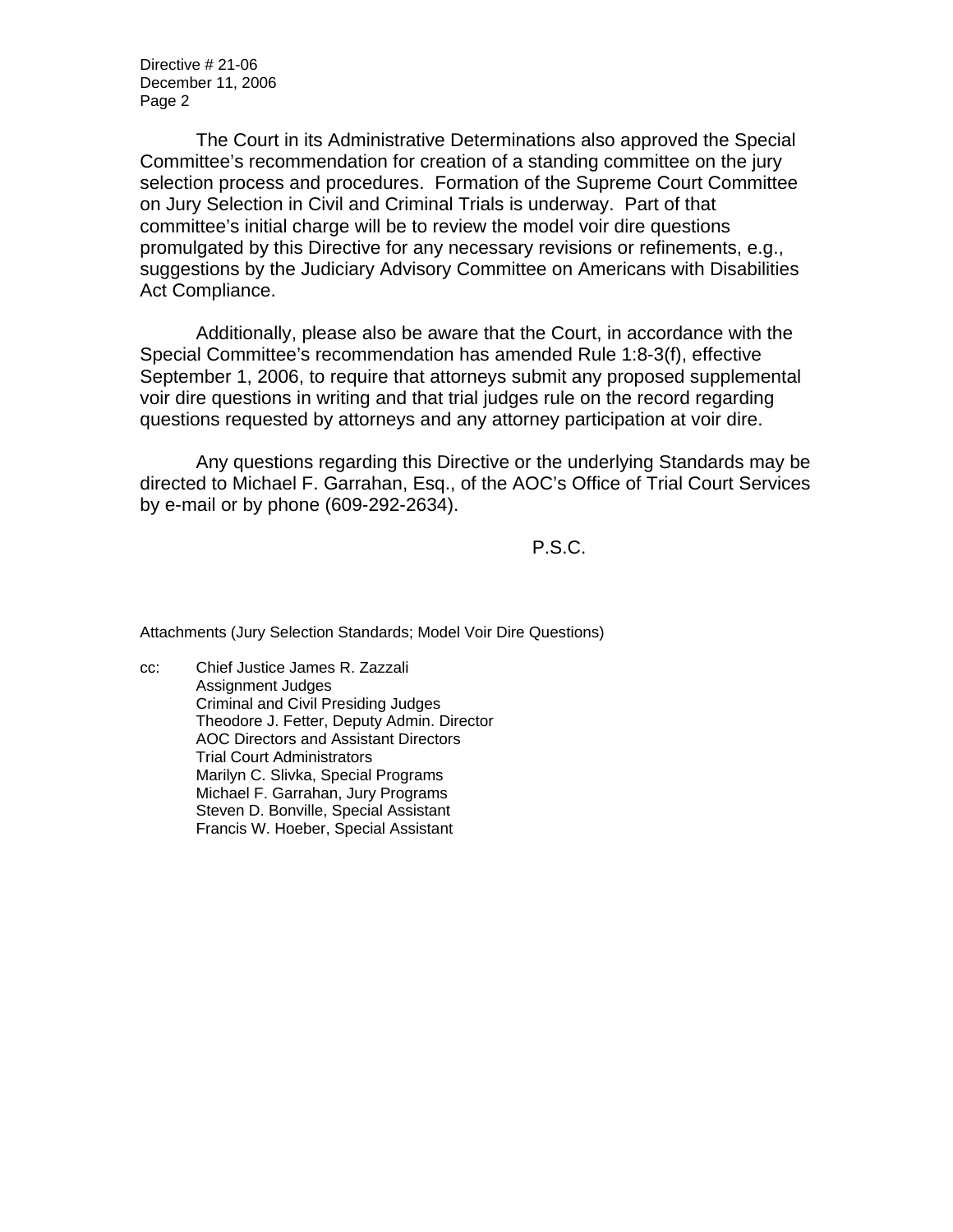Directive # 21-06 December 11, 2006 Page 2

The Court in its Administrative Determinations also approved the Special Committee's recommendation for creation of a standing committee on the jury selection process and procedures. Formation of the Supreme Court Committee on Jury Selection in Civil and Criminal Trials is underway. Part of that committee's initial charge will be to review the model voir dire questions promulgated by this Directive for any necessary revisions or refinements, e.g., suggestions by the Judiciary Advisory Committee on Americans with Disabilities Act Compliance.

Additionally, please also be aware that the Court, in accordance with the Special Committee's recommendation has amended Rule 1:8-3(f), effective September 1, 2006, to require that attorneys submit any proposed supplemental voir dire questions in writing and that trial judges rule on the record regarding questions requested by attorneys and any attorney participation at voir dire.

Any questions regarding this Directive or the underlying Standards may be directed to Michael F. Garrahan, Esq., of the AOC's Office of Trial Court Services by e-mail or by phone (609-292-2634).

P.S.C.

Attachments (Jury Selection Standards; Model Voir Dire Questions)

cc: Chief Justice James R. Zazzali Assignment Judges Criminal and Civil Presiding Judges Theodore J. Fetter, Deputy Admin. Director AOC Directors and Assistant Directors Trial Court Administrators Marilyn C. Slivka, Special Programs Michael F. Garrahan, Jury Programs Steven D. Bonville, Special Assistant Francis W. Hoeber, Special Assistant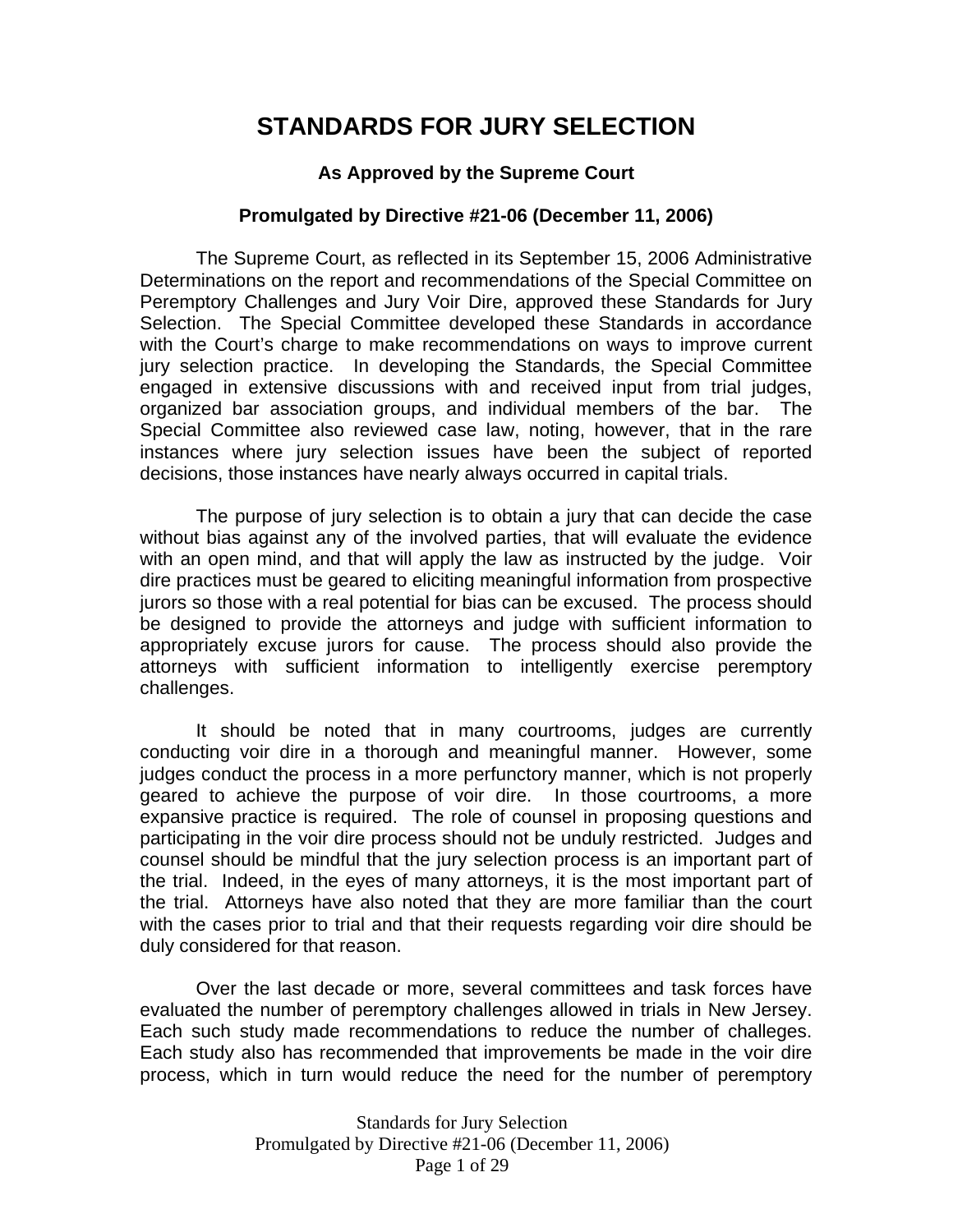# **STANDARDS FOR JURY SELECTION**

### **As Approved by the Supreme Court**

#### **Promulgated by Directive #21-06 (December 11, 2006)**

The Supreme Court, as reflected in its September 15, 2006 Administrative Determinations on the report and recommendations of the Special Committee on Peremptory Challenges and Jury Voir Dire, approved these Standards for Jury Selection. The Special Committee developed these Standards in accordance with the Court's charge to make recommendations on ways to improve current jury selection practice. In developing the Standards, the Special Committee engaged in extensive discussions with and received input from trial judges, organized bar association groups, and individual members of the bar. The Special Committee also reviewed case law, noting, however, that in the rare instances where jury selection issues have been the subject of reported decisions, those instances have nearly always occurred in capital trials.

The purpose of jury selection is to obtain a jury that can decide the case without bias against any of the involved parties, that will evaluate the evidence with an open mind, and that will apply the law as instructed by the judge. Voir dire practices must be geared to eliciting meaningful information from prospective jurors so those with a real potential for bias can be excused. The process should be designed to provide the attorneys and judge with sufficient information to appropriately excuse jurors for cause. The process should also provide the attorneys with sufficient information to intelligently exercise peremptory challenges.

 It should be noted that in many courtrooms, judges are currently conducting voir dire in a thorough and meaningful manner. However, some judges conduct the process in a more perfunctory manner, which is not properly geared to achieve the purpose of voir dire. In those courtrooms, a more expansive practice is required. The role of counsel in proposing questions and participating in the voir dire process should not be unduly restricted. Judges and counsel should be mindful that the jury selection process is an important part of the trial. Indeed, in the eyes of many attorneys, it is the most important part of the trial. Attorneys have also noted that they are more familiar than the court with the cases prior to trial and that their requests regarding voir dire should be duly considered for that reason.

 Over the last decade or more, several committees and task forces have evaluated the number of peremptory challenges allowed in trials in New Jersey. Each such study made recommendations to reduce the number of challeges. Each study also has recommended that improvements be made in the voir dire process, which in turn would reduce the need for the number of peremptory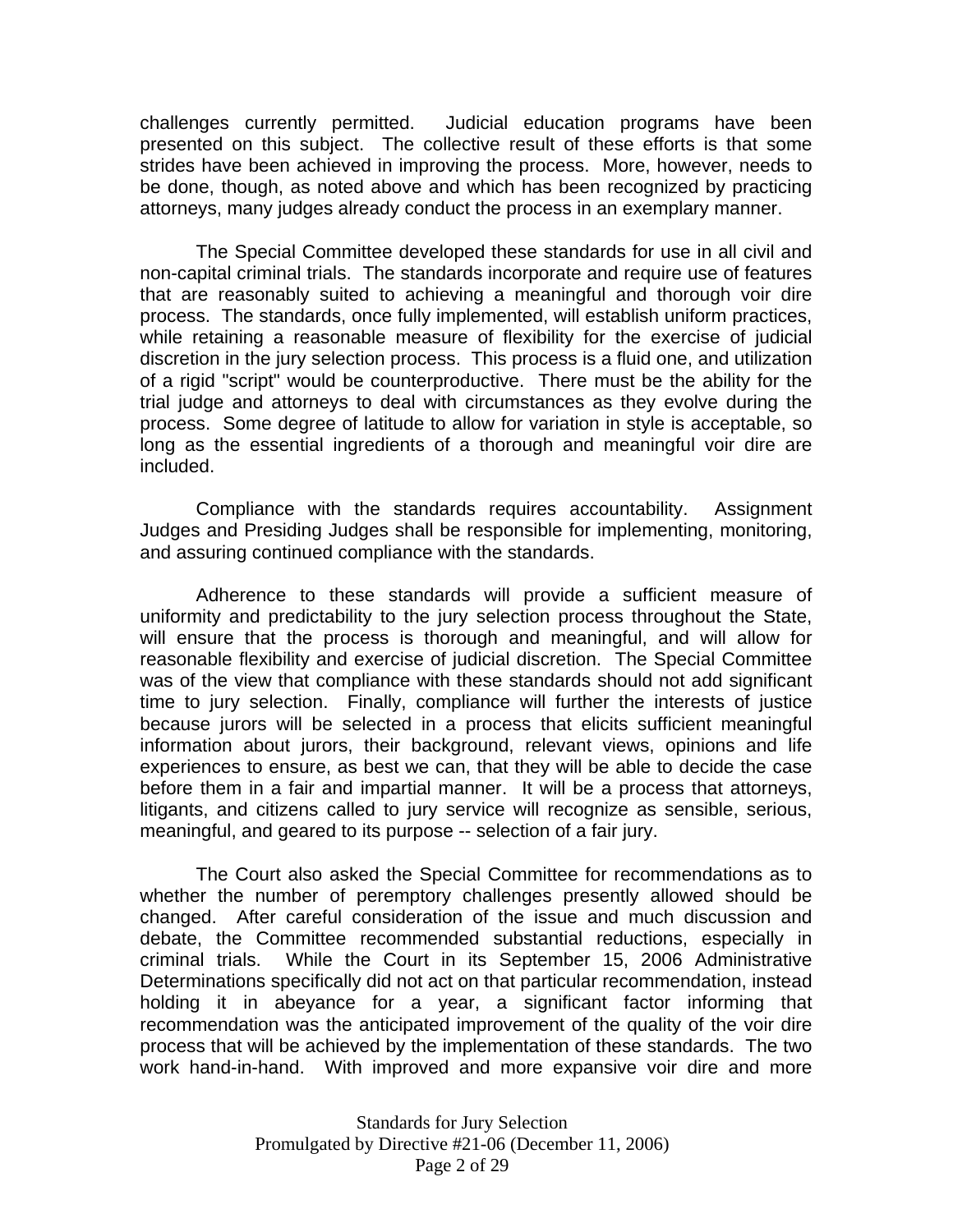challenges currently permitted. Judicial education programs have been presented on this subject. The collective result of these efforts is that some strides have been achieved in improving the process. More, however, needs to be done, though, as noted above and which has been recognized by practicing attorneys, many judges already conduct the process in an exemplary manner.

 The Special Committee developed these standards for use in all civil and non-capital criminal trials. The standards incorporate and require use of features that are reasonably suited to achieving a meaningful and thorough voir dire process. The standards, once fully implemented, will establish uniform practices, while retaining a reasonable measure of flexibility for the exercise of judicial discretion in the jury selection process. This process is a fluid one, and utilization of a rigid "script" would be counterproductive. There must be the ability for the trial judge and attorneys to deal with circumstances as they evolve during the process. Some degree of latitude to allow for variation in style is acceptable, so long as the essential ingredients of a thorough and meaningful voir dire are included.

 Compliance with the standards requires accountability. Assignment Judges and Presiding Judges shall be responsible for implementing, monitoring, and assuring continued compliance with the standards.

 Adherence to these standards will provide a sufficient measure of uniformity and predictability to the jury selection process throughout the State, will ensure that the process is thorough and meaningful, and will allow for reasonable flexibility and exercise of judicial discretion. The Special Committee was of the view that compliance with these standards should not add significant time to jury selection. Finally, compliance will further the interests of justice because jurors will be selected in a process that elicits sufficient meaningful information about jurors, their background, relevant views, opinions and life experiences to ensure, as best we can, that they will be able to decide the case before them in a fair and impartial manner. It will be a process that attorneys, litigants, and citizens called to jury service will recognize as sensible, serious, meaningful, and geared to its purpose -- selection of a fair jury.

 The Court also asked the Special Committee for recommendations as to whether the number of peremptory challenges presently allowed should be changed. After careful consideration of the issue and much discussion and debate, the Committee recommended substantial reductions, especially in criminal trials. While the Court in its September 15, 2006 Administrative Determinations specifically did not act on that particular recommendation, instead holding it in abeyance for a year, a significant factor informing that recommendation was the anticipated improvement of the quality of the voir dire process that will be achieved by the implementation of these standards. The two work hand-in-hand. With improved and more expansive voir dire and more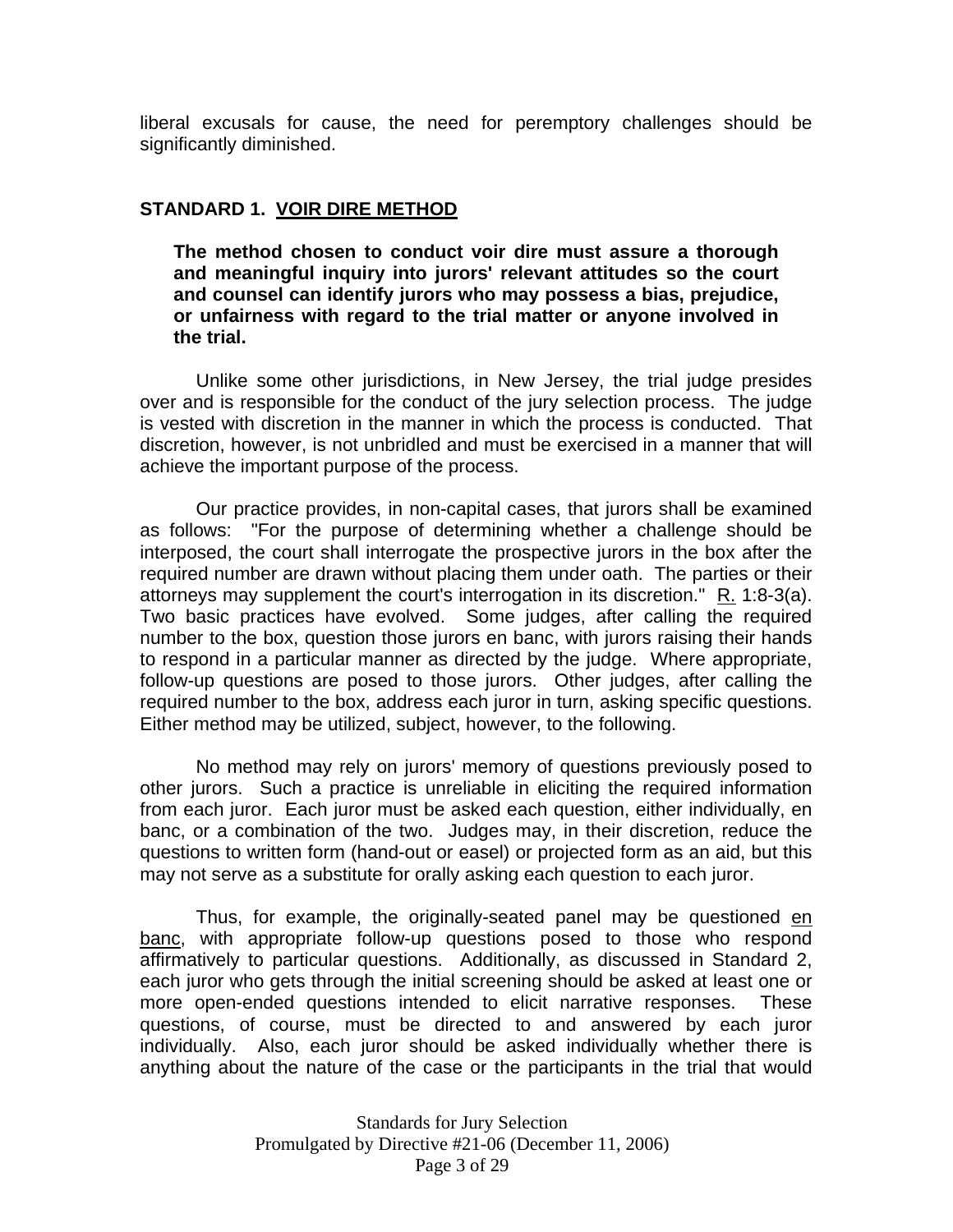liberal excusals for cause, the need for peremptory challenges should be significantly diminished.

## **STANDARD 1. VOIR DIRE METHOD**

**The method chosen to conduct voir dire must assure a thorough and meaningful inquiry into jurors' relevant attitudes so the court and counsel can identify jurors who may possess a bias, prejudice, or unfairness with regard to the trial matter or anyone involved in the trial.** 

 Unlike some other jurisdictions, in New Jersey, the trial judge presides over and is responsible for the conduct of the jury selection process. The judge is vested with discretion in the manner in which the process is conducted. That discretion, however, is not unbridled and must be exercised in a manner that will achieve the important purpose of the process.

 Our practice provides, in non-capital cases, that jurors shall be examined as follows: "For the purpose of determining whether a challenge should be interposed, the court shall interrogate the prospective jurors in the box after the required number are drawn without placing them under oath. The parties or their attorneys may supplement the court's interrogation in its discretion." R. 1:8-3(a). Two basic practices have evolved. Some judges, after calling the required number to the box, question those jurors en banc, with jurors raising their hands to respond in a particular manner as directed by the judge. Where appropriate, follow-up questions are posed to those jurors. Other judges, after calling the required number to the box, address each juror in turn, asking specific questions. Either method may be utilized, subject, however, to the following.

 No method may rely on jurors' memory of questions previously posed to other jurors. Such a practice is unreliable in eliciting the required information from each juror. Each juror must be asked each question, either individually, en banc, or a combination of the two. Judges may, in their discretion, reduce the questions to written form (hand-out or easel) or projected form as an aid, but this may not serve as a substitute for orally asking each question to each juror.

 Thus, for example, the originally-seated panel may be questioned en banc, with appropriate follow-up questions posed to those who respond affirmatively to particular questions. Additionally, as discussed in Standard 2, each juror who gets through the initial screening should be asked at least one or more open-ended questions intended to elicit narrative responses. These questions, of course, must be directed to and answered by each juror individually. Also, each juror should be asked individually whether there is anything about the nature of the case or the participants in the trial that would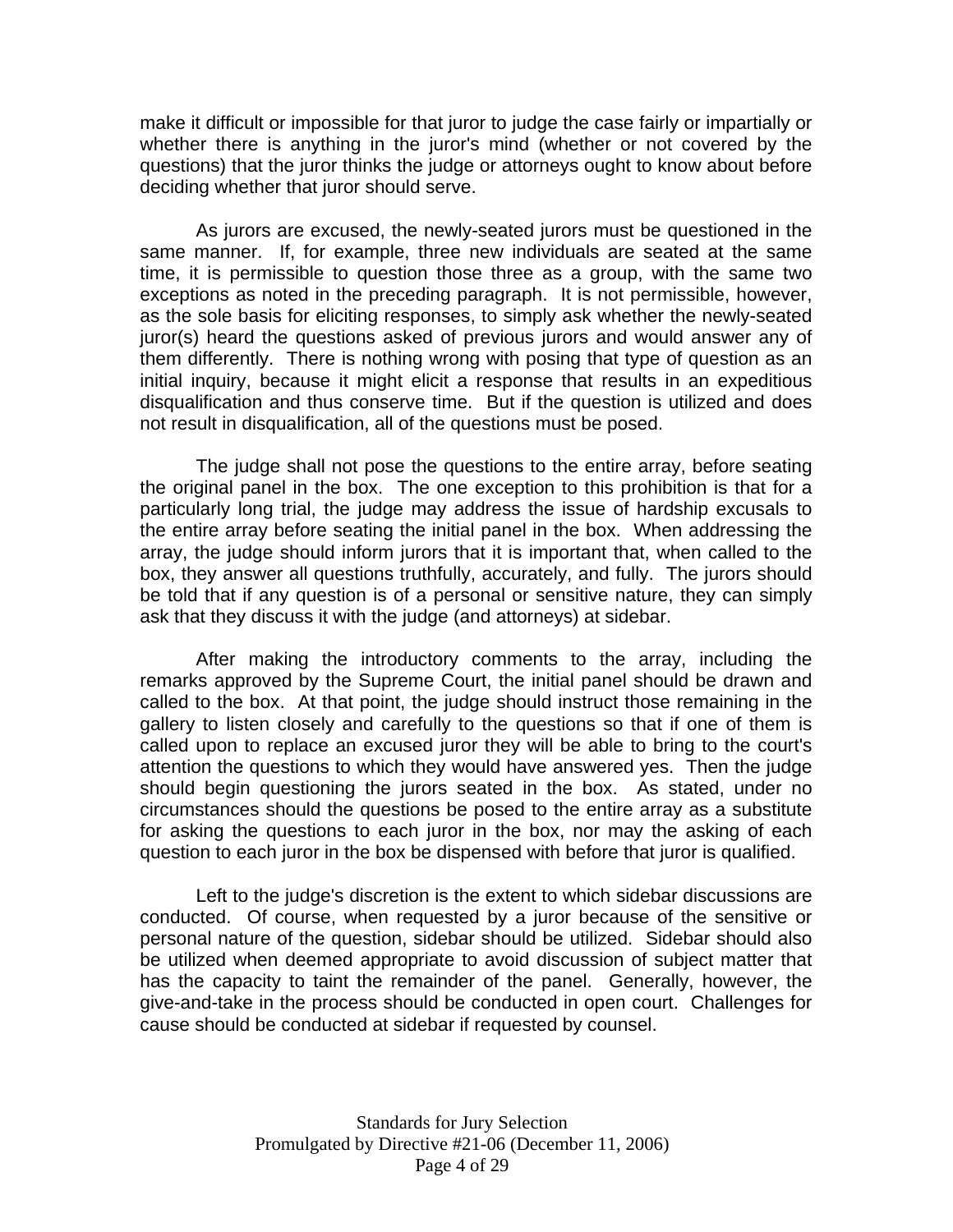make it difficult or impossible for that juror to judge the case fairly or impartially or whether there is anything in the juror's mind (whether or not covered by the questions) that the juror thinks the judge or attorneys ought to know about before deciding whether that juror should serve.

 As jurors are excused, the newly-seated jurors must be questioned in the same manner. If, for example, three new individuals are seated at the same time, it is permissible to question those three as a group, with the same two exceptions as noted in the preceding paragraph. It is not permissible, however, as the sole basis for eliciting responses, to simply ask whether the newly-seated juror(s) heard the questions asked of previous jurors and would answer any of them differently. There is nothing wrong with posing that type of question as an initial inquiry, because it might elicit a response that results in an expeditious disqualification and thus conserve time. But if the question is utilized and does not result in disqualification, all of the questions must be posed.

 The judge shall not pose the questions to the entire array, before seating the original panel in the box. The one exception to this prohibition is that for a particularly long trial, the judge may address the issue of hardship excusals to the entire array before seating the initial panel in the box. When addressing the array, the judge should inform jurors that it is important that, when called to the box, they answer all questions truthfully, accurately, and fully. The jurors should be told that if any question is of a personal or sensitive nature, they can simply ask that they discuss it with the judge (and attorneys) at sidebar.

 After making the introductory comments to the array, including the remarks approved by the Supreme Court, the initial panel should be drawn and called to the box. At that point, the judge should instruct those remaining in the gallery to listen closely and carefully to the questions so that if one of them is called upon to replace an excused juror they will be able to bring to the court's attention the questions to which they would have answered yes. Then the judge should begin questioning the jurors seated in the box. As stated, under no circumstances should the questions be posed to the entire array as a substitute for asking the questions to each juror in the box, nor may the asking of each question to each juror in the box be dispensed with before that juror is qualified.

 Left to the judge's discretion is the extent to which sidebar discussions are conducted. Of course, when requested by a juror because of the sensitive or personal nature of the question, sidebar should be utilized. Sidebar should also be utilized when deemed appropriate to avoid discussion of subject matter that has the capacity to taint the remainder of the panel. Generally, however, the give-and-take in the process should be conducted in open court. Challenges for cause should be conducted at sidebar if requested by counsel.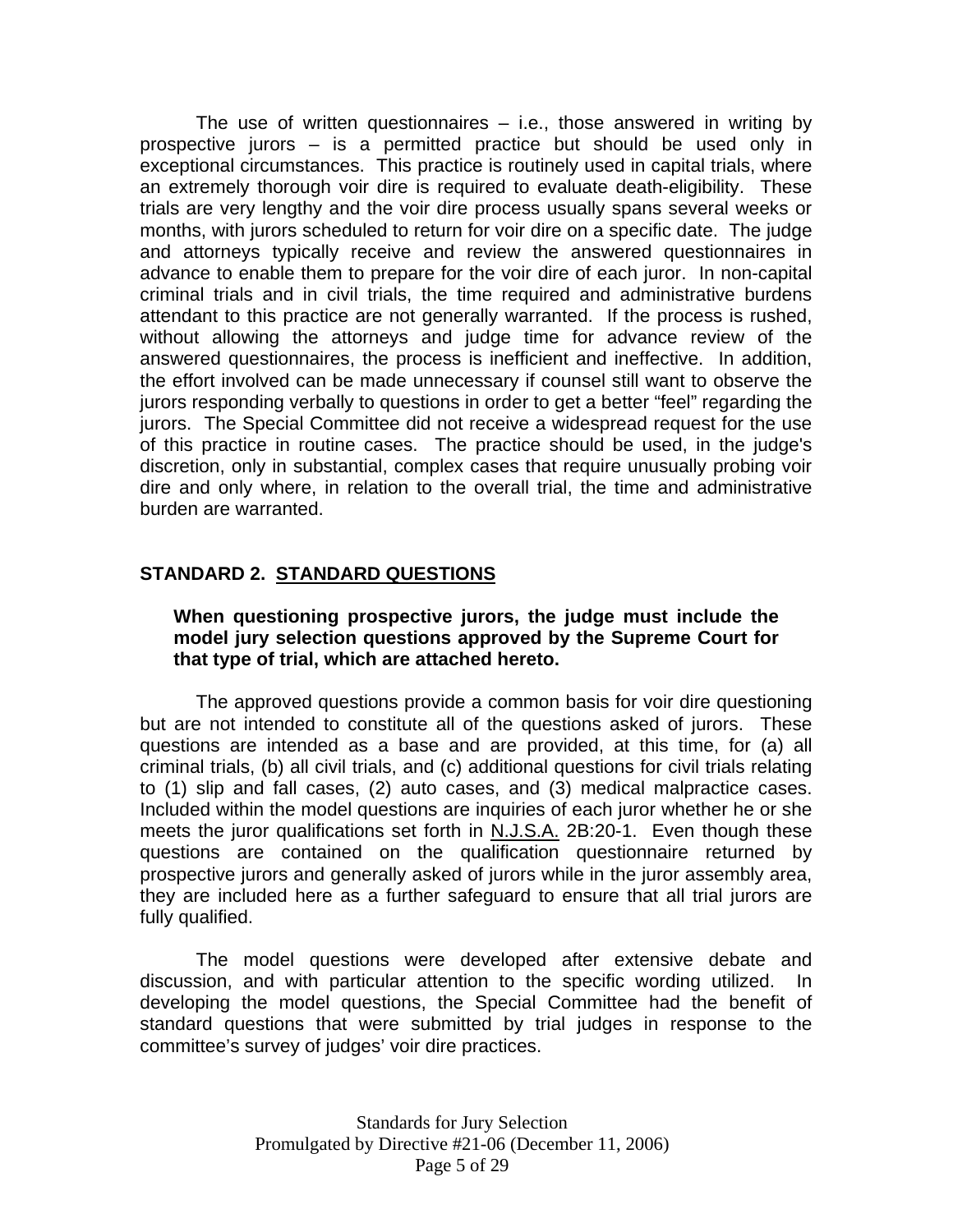The use of written questionnaires  $-$  i.e., those answered in writing by prospective jurors – is a permitted practice but should be used only in exceptional circumstances. This practice is routinely used in capital trials, where an extremely thorough voir dire is required to evaluate death-eligibility. These trials are very lengthy and the voir dire process usually spans several weeks or months, with jurors scheduled to return for voir dire on a specific date. The judge and attorneys typically receive and review the answered questionnaires in advance to enable them to prepare for the voir dire of each juror. In non-capital criminal trials and in civil trials, the time required and administrative burdens attendant to this practice are not generally warranted. If the process is rushed, without allowing the attorneys and judge time for advance review of the answered questionnaires, the process is inefficient and ineffective. In addition, the effort involved can be made unnecessary if counsel still want to observe the jurors responding verbally to questions in order to get a better "feel" regarding the jurors. The Special Committee did not receive a widespread request for the use of this practice in routine cases. The practice should be used, in the judge's discretion, only in substantial, complex cases that require unusually probing voir dire and only where, in relation to the overall trial, the time and administrative burden are warranted.

## **STANDARD 2. STANDARD QUESTIONS**

### **When questioning prospective jurors, the judge must include the model jury selection questions approved by the Supreme Court for that type of trial, which are attached hereto.**

 The approved questions provide a common basis for voir dire questioning but are not intended to constitute all of the questions asked of jurors. These questions are intended as a base and are provided, at this time, for (a) all criminal trials, (b) all civil trials, and (c) additional questions for civil trials relating to (1) slip and fall cases, (2) auto cases, and (3) medical malpractice cases. Included within the model questions are inquiries of each juror whether he or she meets the juror qualifications set forth in N.J.S.A. 2B:20-1. Even though these questions are contained on the qualification questionnaire returned by prospective jurors and generally asked of jurors while in the juror assembly area, they are included here as a further safeguard to ensure that all trial jurors are fully qualified.

 The model questions were developed after extensive debate and discussion, and with particular attention to the specific wording utilized. In developing the model questions, the Special Committee had the benefit of standard questions that were submitted by trial judges in response to the committee's survey of judges' voir dire practices.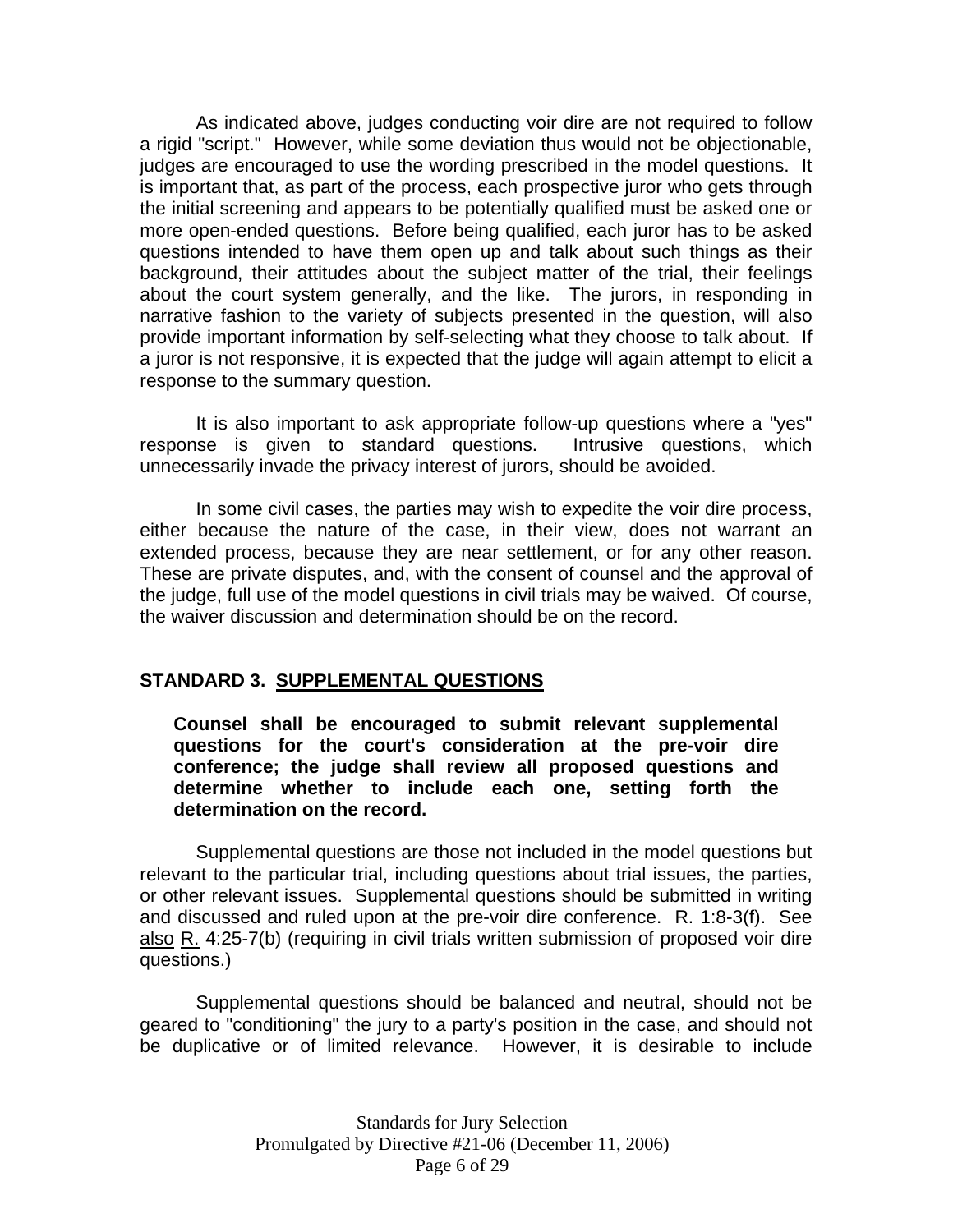As indicated above, judges conducting voir dire are not required to follow a rigid "script." However, while some deviation thus would not be objectionable, judges are encouraged to use the wording prescribed in the model questions. It is important that, as part of the process, each prospective juror who gets through the initial screening and appears to be potentially qualified must be asked one or more open-ended questions. Before being qualified, each juror has to be asked questions intended to have them open up and talk about such things as their background, their attitudes about the subject matter of the trial, their feelings about the court system generally, and the like. The jurors, in responding in narrative fashion to the variety of subjects presented in the question, will also provide important information by self-selecting what they choose to talk about. If a juror is not responsive, it is expected that the judge will again attempt to elicit a response to the summary question.

 It is also important to ask appropriate follow-up questions where a "yes" response is given to standard questions. Intrusive questions, which unnecessarily invade the privacy interest of jurors, should be avoided.

 In some civil cases, the parties may wish to expedite the voir dire process, either because the nature of the case, in their view, does not warrant an extended process, because they are near settlement, or for any other reason. These are private disputes, and, with the consent of counsel and the approval of the judge, full use of the model questions in civil trials may be waived. Of course, the waiver discussion and determination should be on the record.

### **STANDARD 3. SUPPLEMENTAL QUESTIONS**

**Counsel shall be encouraged to submit relevant supplemental questions for the court's consideration at the pre-voir dire conference; the judge shall review all proposed questions and determine whether to include each one, setting forth the determination on the record.** 

 Supplemental questions are those not included in the model questions but relevant to the particular trial, including questions about trial issues, the parties, or other relevant issues. Supplemental questions should be submitted in writing and discussed and ruled upon at the pre-voir dire conference. R. 1:8-3(f). See also R. 4:25-7(b) (requiring in civil trials written submission of proposed voir dire questions.)

 Supplemental questions should be balanced and neutral, should not be geared to "conditioning" the jury to a party's position in the case, and should not be duplicative or of limited relevance. However, it is desirable to include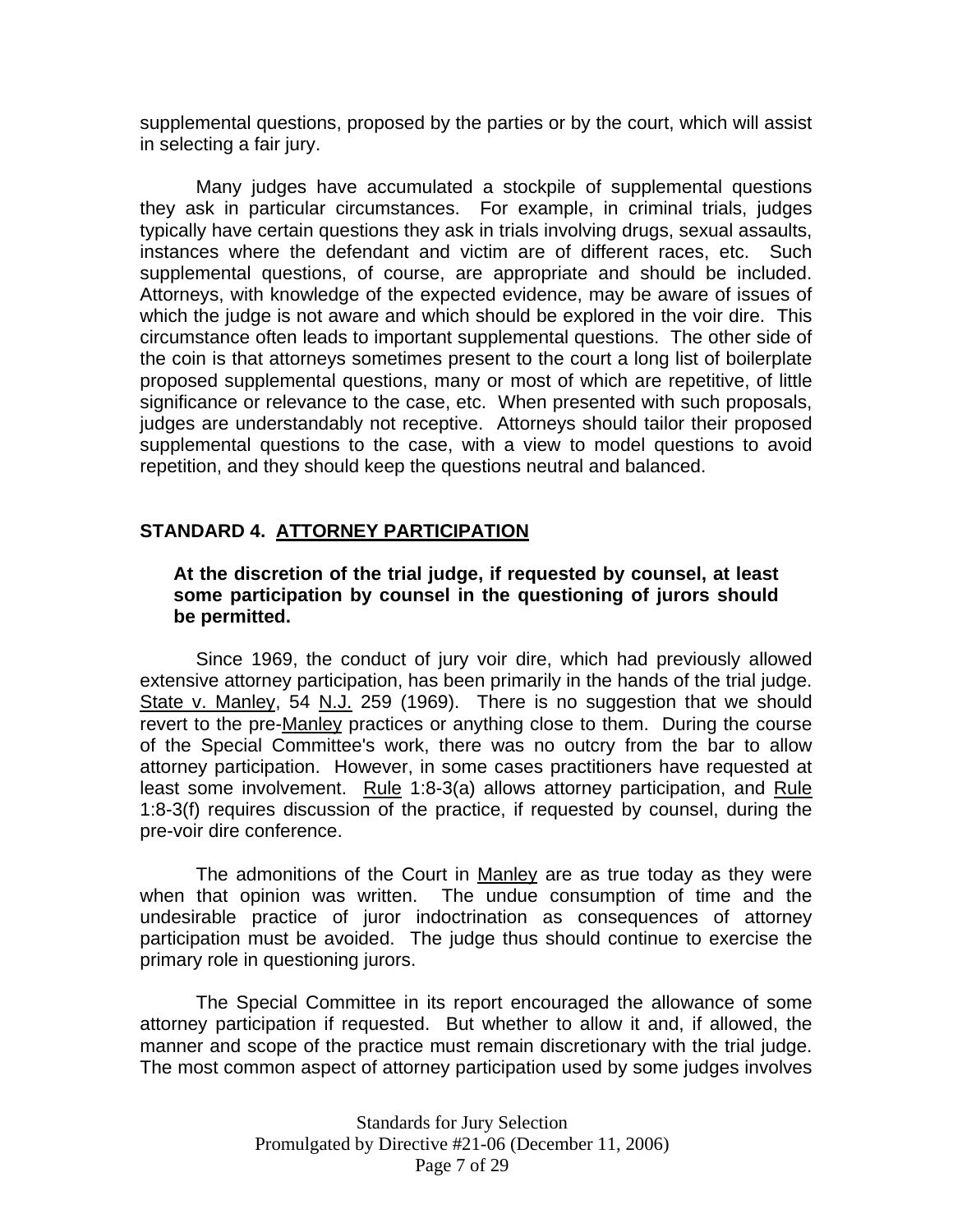supplemental questions, proposed by the parties or by the court, which will assist in selecting a fair jury.

 Many judges have accumulated a stockpile of supplemental questions they ask in particular circumstances. For example, in criminal trials, judges typically have certain questions they ask in trials involving drugs, sexual assaults, instances where the defendant and victim are of different races, etc. Such supplemental questions, of course, are appropriate and should be included. Attorneys, with knowledge of the expected evidence, may be aware of issues of which the judge is not aware and which should be explored in the voir dire. This circumstance often leads to important supplemental questions. The other side of the coin is that attorneys sometimes present to the court a long list of boilerplate proposed supplemental questions, many or most of which are repetitive, of little significance or relevance to the case, etc. When presented with such proposals, judges are understandably not receptive. Attorneys should tailor their proposed supplemental questions to the case, with a view to model questions to avoid repetition, and they should keep the questions neutral and balanced.

### **STANDARD 4. ATTORNEY PARTICIPATION**

### **At the discretion of the trial judge, if requested by counsel, at least some participation by counsel in the questioning of jurors should be permitted.**

 Since 1969, the conduct of jury voir dire, which had previously allowed extensive attorney participation, has been primarily in the hands of the trial judge. State v. Manley, 54 N.J. 259 (1969). There is no suggestion that we should revert to the pre-Manley practices or anything close to them. During the course of the Special Committee's work, there was no outcry from the bar to allow attorney participation. However, in some cases practitioners have requested at least some involvement. Rule 1:8-3(a) allows attorney participation, and Rule 1:8-3(f) requires discussion of the practice, if requested by counsel, during the pre-voir dire conference.

The admonitions of the Court in Manley are as true today as they were when that opinion was written. The undue consumption of time and the undesirable practice of juror indoctrination as consequences of attorney participation must be avoided. The judge thus should continue to exercise the primary role in questioning jurors.

 The Special Committee in its report encouraged the allowance of some attorney participation if requested. But whether to allow it and, if allowed, the manner and scope of the practice must remain discretionary with the trial judge. The most common aspect of attorney participation used by some judges involves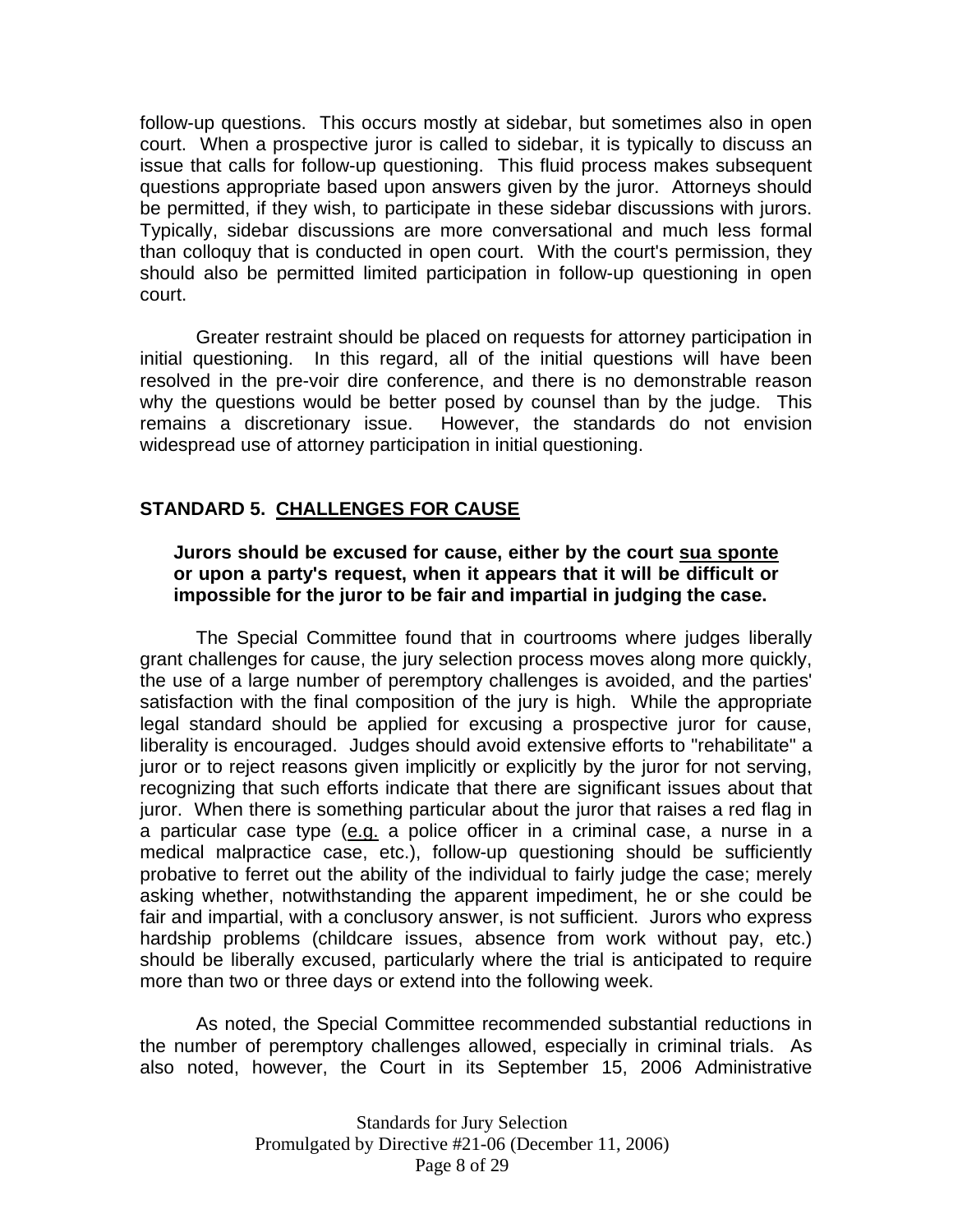follow-up questions. This occurs mostly at sidebar, but sometimes also in open court. When a prospective juror is called to sidebar, it is typically to discuss an issue that calls for follow-up questioning. This fluid process makes subsequent questions appropriate based upon answers given by the juror. Attorneys should be permitted, if they wish, to participate in these sidebar discussions with jurors. Typically, sidebar discussions are more conversational and much less formal than colloquy that is conducted in open court. With the court's permission, they should also be permitted limited participation in follow-up questioning in open court.

 Greater restraint should be placed on requests for attorney participation in initial questioning. In this regard, all of the initial questions will have been resolved in the pre-voir dire conference, and there is no demonstrable reason why the questions would be better posed by counsel than by the judge. This remains a discretionary issue. However, the standards do not envision widespread use of attorney participation in initial questioning.

### **STANDARD 5. CHALLENGES FOR CAUSE**

### **Jurors should be excused for cause, either by the court sua sponte or upon a party's request, when it appears that it will be difficult or impossible for the juror to be fair and impartial in judging the case.**

 The Special Committee found that in courtrooms where judges liberally grant challenges for cause, the jury selection process moves along more quickly, the use of a large number of peremptory challenges is avoided, and the parties' satisfaction with the final composition of the jury is high. While the appropriate legal standard should be applied for excusing a prospective juror for cause, liberality is encouraged. Judges should avoid extensive efforts to "rehabilitate" a juror or to reject reasons given implicitly or explicitly by the juror for not serving, recognizing that such efforts indicate that there are significant issues about that juror. When there is something particular about the juror that raises a red flag in a particular case type (e.g. a police officer in a criminal case, a nurse in a medical malpractice case, etc.), follow-up questioning should be sufficiently probative to ferret out the ability of the individual to fairly judge the case; merely asking whether, notwithstanding the apparent impediment, he or she could be fair and impartial, with a conclusory answer, is not sufficient. Jurors who express hardship problems (childcare issues, absence from work without pay, etc.) should be liberally excused, particularly where the trial is anticipated to require more than two or three days or extend into the following week.

 As noted, the Special Committee recommended substantial reductions in the number of peremptory challenges allowed, especially in criminal trials. As also noted, however, the Court in its September 15, 2006 Administrative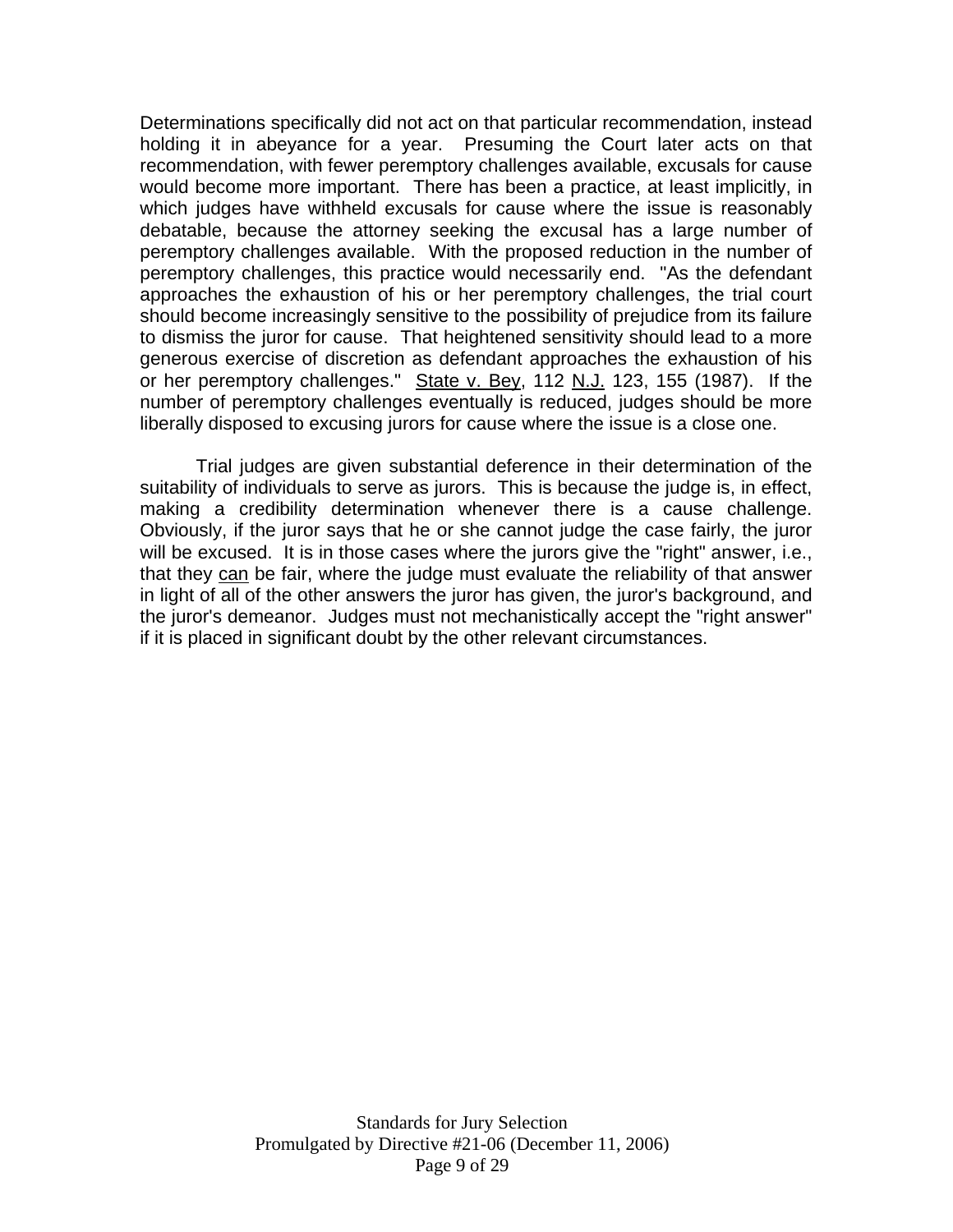Determinations specifically did not act on that particular recommendation, instead holding it in abeyance for a year. Presuming the Court later acts on that recommendation, with fewer peremptory challenges available, excusals for cause would become more important. There has been a practice, at least implicitly, in which judges have withheld excusals for cause where the issue is reasonably debatable, because the attorney seeking the excusal has a large number of peremptory challenges available. With the proposed reduction in the number of peremptory challenges, this practice would necessarily end. "As the defendant approaches the exhaustion of his or her peremptory challenges, the trial court should become increasingly sensitive to the possibility of prejudice from its failure to dismiss the juror for cause. That heightened sensitivity should lead to a more generous exercise of discretion as defendant approaches the exhaustion of his or her peremptory challenges." State v. Bey, 112 N.J. 123, 155 (1987). If the number of peremptory challenges eventually is reduced, judges should be more liberally disposed to excusing jurors for cause where the issue is a close one.

 Trial judges are given substantial deference in their determination of the suitability of individuals to serve as jurors. This is because the judge is, in effect, making a credibility determination whenever there is a cause challenge. Obviously, if the juror says that he or she cannot judge the case fairly, the juror will be excused. It is in those cases where the jurors give the "right" answer, i.e., that they can be fair, where the judge must evaluate the reliability of that answer in light of all of the other answers the juror has given, the juror's background, and the juror's demeanor. Judges must not mechanistically accept the "right answer" if it is placed in significant doubt by the other relevant circumstances.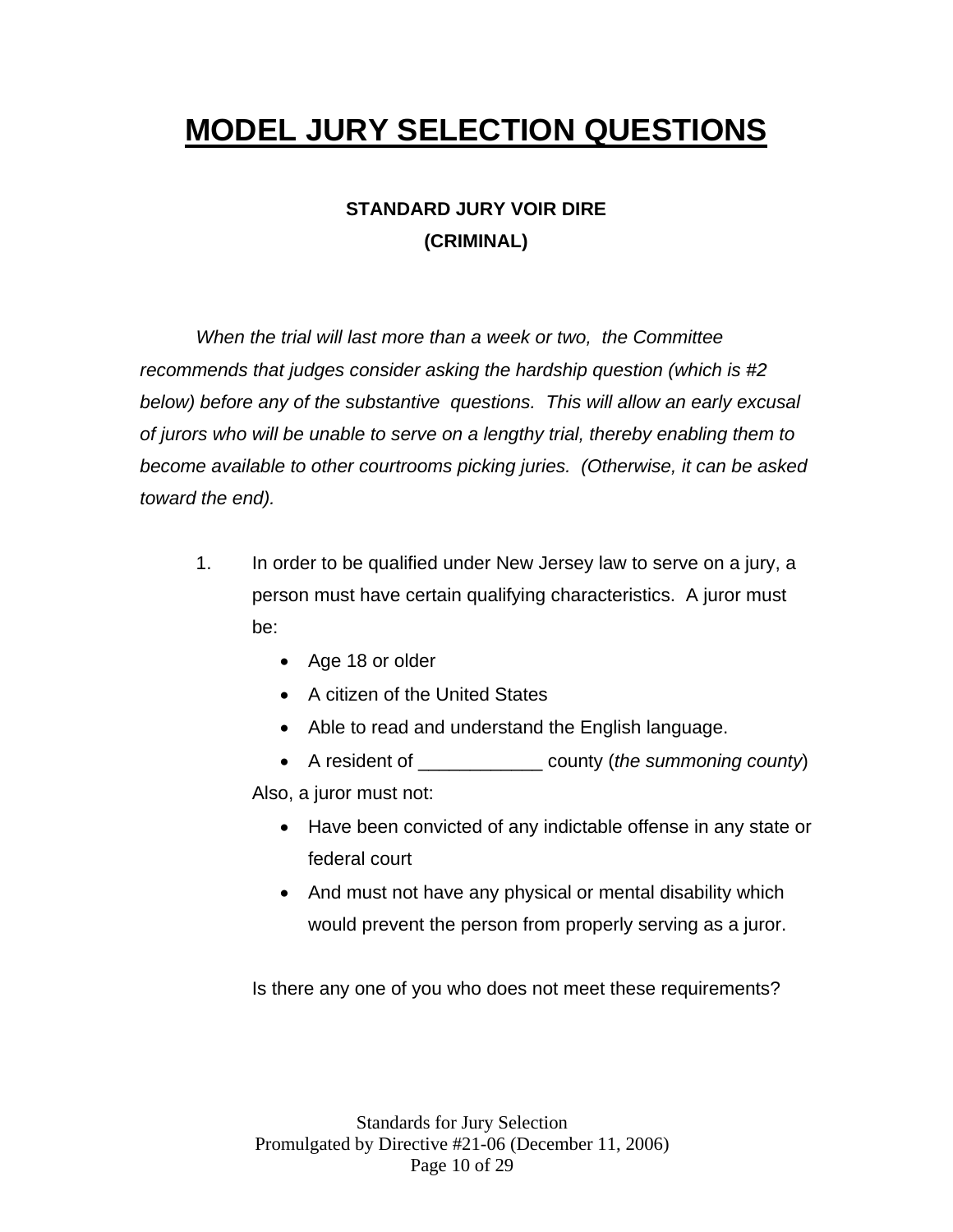# **MODEL JURY SELECTION QUESTIONS**

# **STANDARD JURY VOIR DIRE (CRIMINAL)**

*When the trial will last more than a week or two, the Committee recommends that judges consider asking the hardship question (which is #2 below) before any of the substantive questions. This will allow an early excusal of jurors who will be unable to serve on a lengthy trial, thereby enabling them to become available to other courtrooms picking juries. (Otherwise, it can be asked toward the end).* 

- 1. In order to be qualified under New Jersey law to serve on a jury, a person must have certain qualifying characteristics. A juror must be:
	- Age 18 or older
	- A citizen of the United States
	- Able to read and understand the English language.
	- A resident of \_\_\_\_\_\_\_\_\_\_\_\_ county (*the summoning county*) Also, a juror must not:
		- Have been convicted of any indictable offense in any state or federal court
		- And must not have any physical or mental disability which would prevent the person from properly serving as a juror.

Is there any one of you who does not meet these requirements?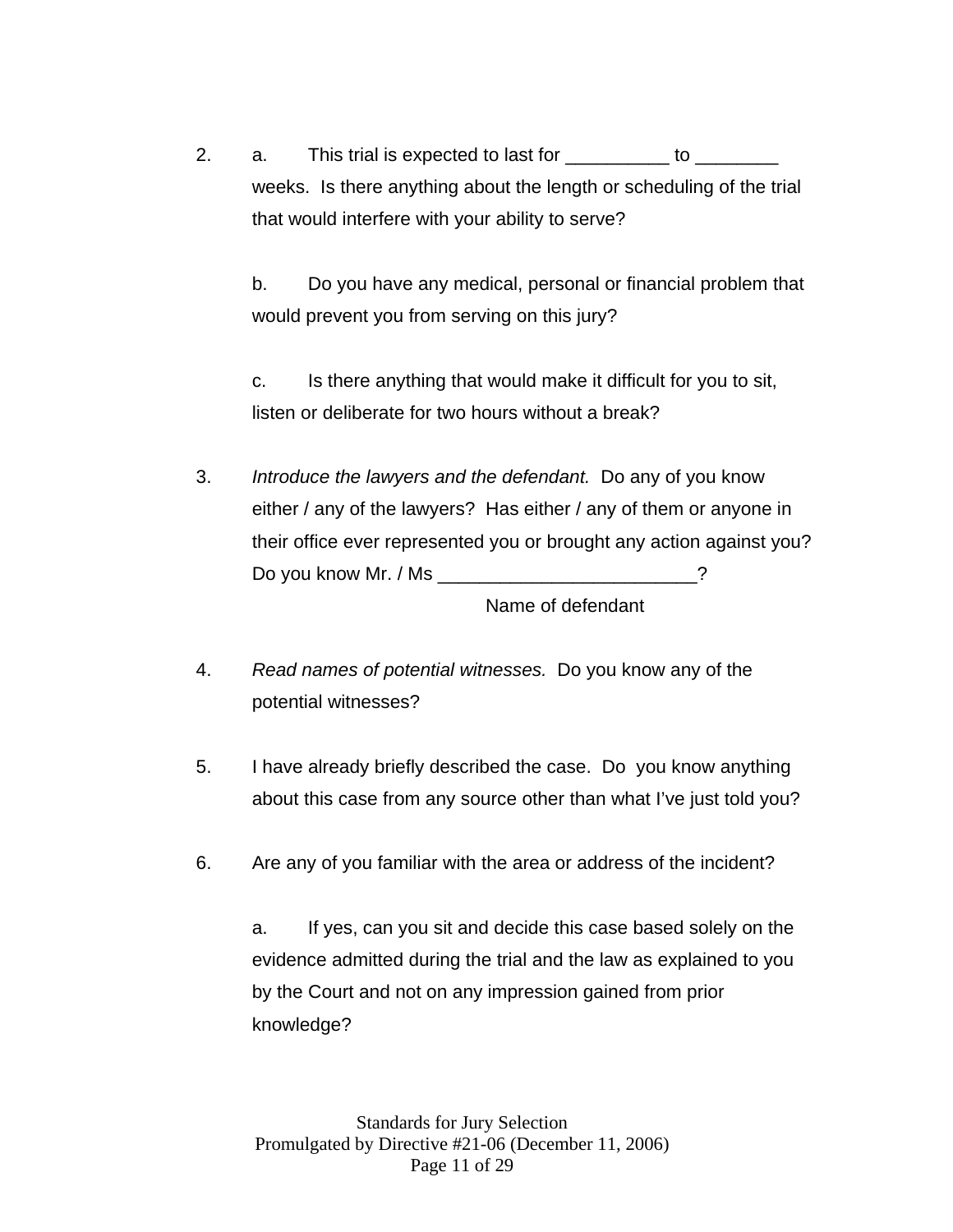2. a. This trial is expected to last for to  $\sim$ weeks. Is there anything about the length or scheduling of the trial that would interfere with your ability to serve?

b. Do you have any medical, personal or financial problem that would prevent you from serving on this jury?

c. Is there anything that would make it difficult for you to sit, listen or deliberate for two hours without a break?

3. *Introduce the lawyers and the defendant.* Do any of you know either / any of the lawyers? Has either / any of them or anyone in their office ever represented you or brought any action against you? Do you know Mr. / Ms \_\_\_\_\_\_\_\_\_\_\_\_\_\_\_\_\_\_\_\_\_\_\_\_\_?

Name of defendant

- 4. *Read names of potential witnesses.* Do you know any of the potential witnesses?
- 5. I have already briefly described the case. Do you know anything about this case from any source other than what I've just told you?
- 6. Are any of you familiar with the area or address of the incident?

a. If yes, can you sit and decide this case based solely on the evidence admitted during the trial and the law as explained to you by the Court and not on any impression gained from prior knowledge?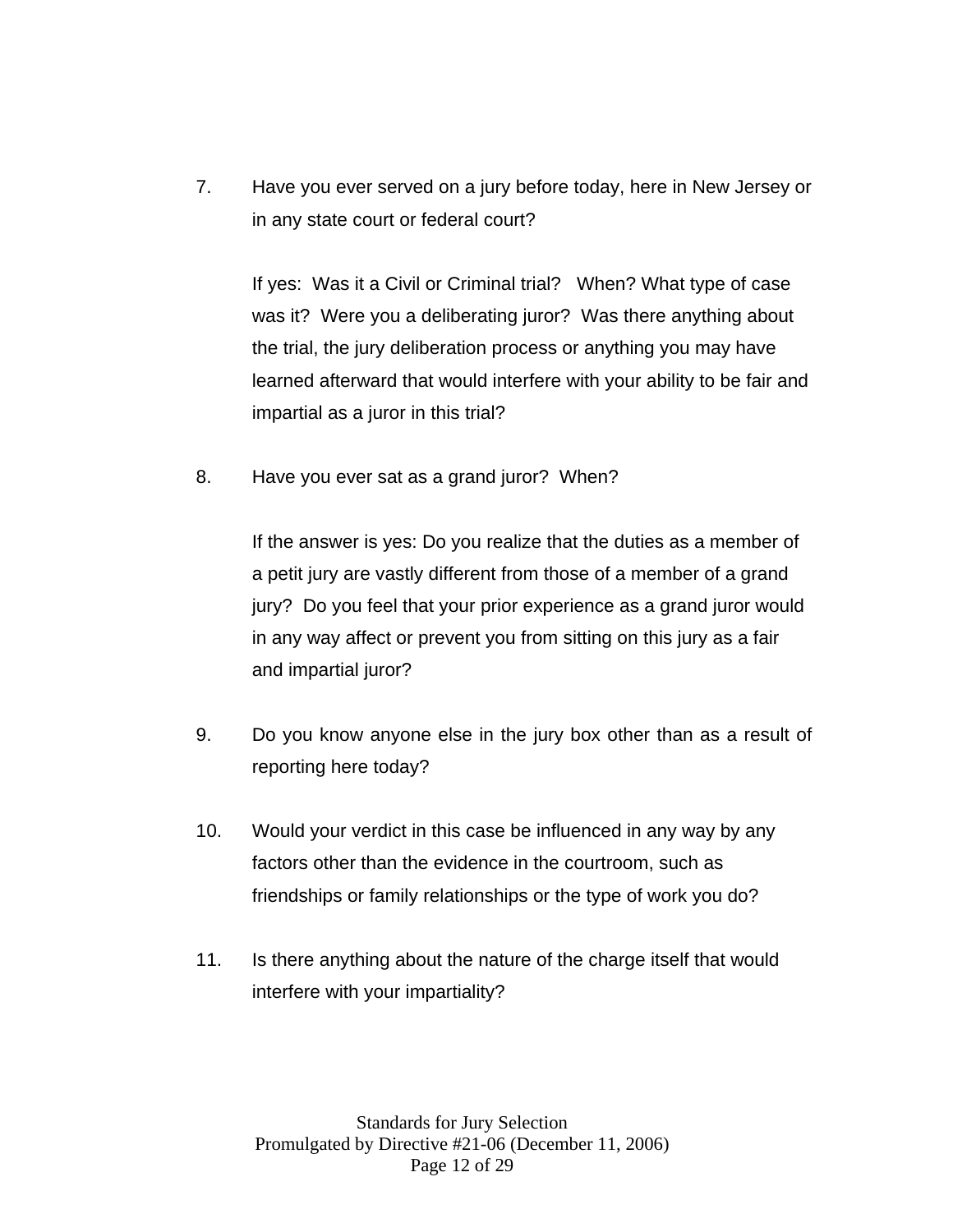7. Have you ever served on a jury before today, here in New Jersey or in any state court or federal court?

If yes: Was it a Civil or Criminal trial? When? What type of case was it? Were you a deliberating juror? Was there anything about the trial, the jury deliberation process or anything you may have learned afterward that would interfere with your ability to be fair and impartial as a juror in this trial?

8. Have you ever sat as a grand juror? When?

If the answer is yes: Do you realize that the duties as a member of a petit jury are vastly different from those of a member of a grand jury? Do you feel that your prior experience as a grand juror would in any way affect or prevent you from sitting on this jury as a fair and impartial juror?

- 9. Do you know anyone else in the jury box other than as a result of reporting here today?
- 10. Would your verdict in this case be influenced in any way by any factors other than the evidence in the courtroom, such as friendships or family relationships or the type of work you do?
- 11. Is there anything about the nature of the charge itself that would interfere with your impartiality?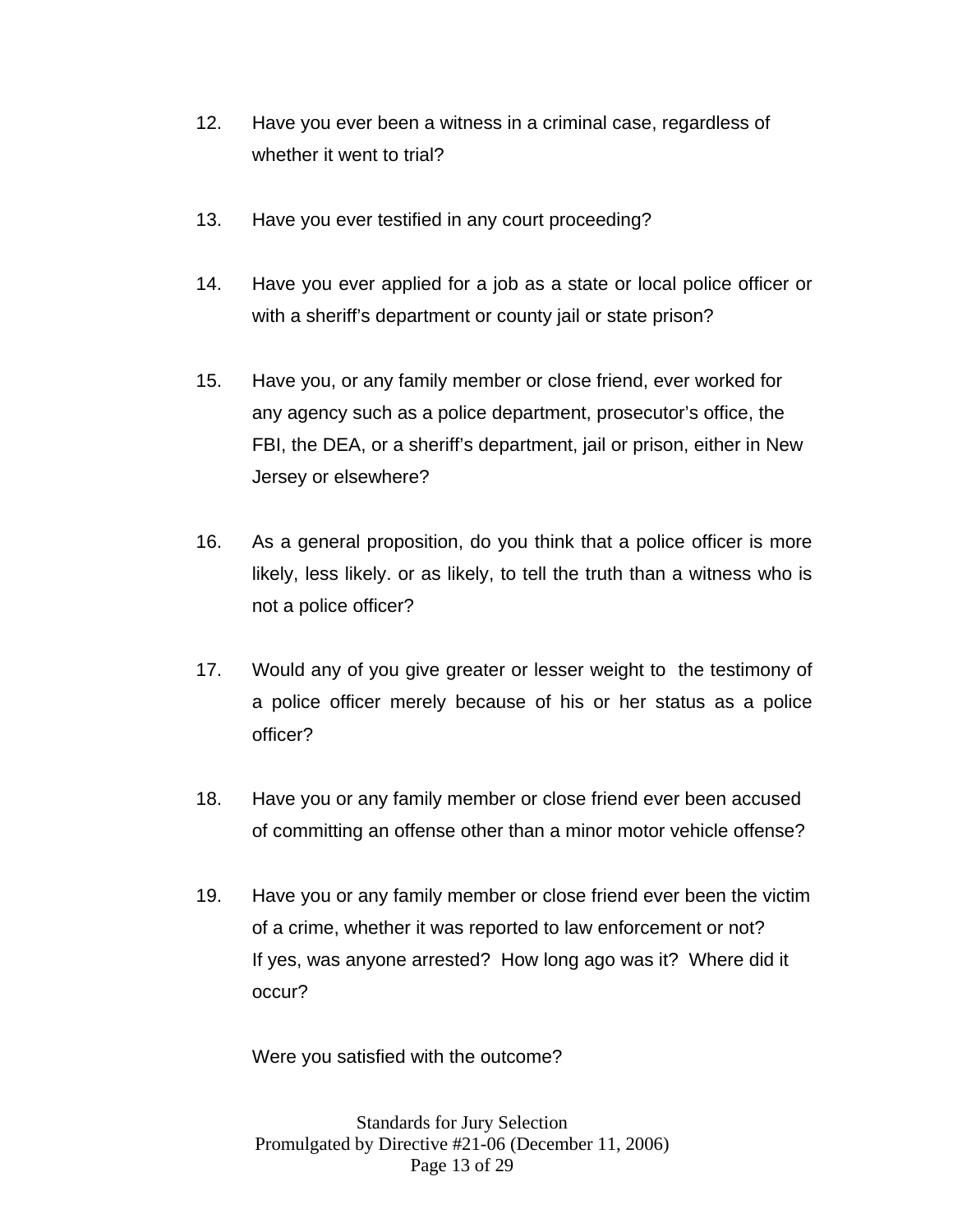- 12. Have you ever been a witness in a criminal case, regardless of whether it went to trial?
- 13. Have you ever testified in any court proceeding?
- 14. Have you ever applied for a job as a state or local police officer or with a sheriff's department or county jail or state prison?
- 15. Have you, or any family member or close friend, ever worked for any agency such as a police department, prosecutor's office, the FBI, the DEA, or a sheriff's department, jail or prison, either in New Jersey or elsewhere?
- 16. As a general proposition, do you think that a police officer is more likely, less likely. or as likely, to tell the truth than a witness who is not a police officer?
- 17. Would any of you give greater or lesser weight to the testimony of a police officer merely because of his or her status as a police officer?
- 18. Have you or any family member or close friend ever been accused of committing an offense other than a minor motor vehicle offense?
- 19. Have you or any family member or close friend ever been the victim of a crime, whether it was reported to law enforcement or not? If yes, was anyone arrested? How long ago was it? Where did it occur?

Were you satisfied with the outcome?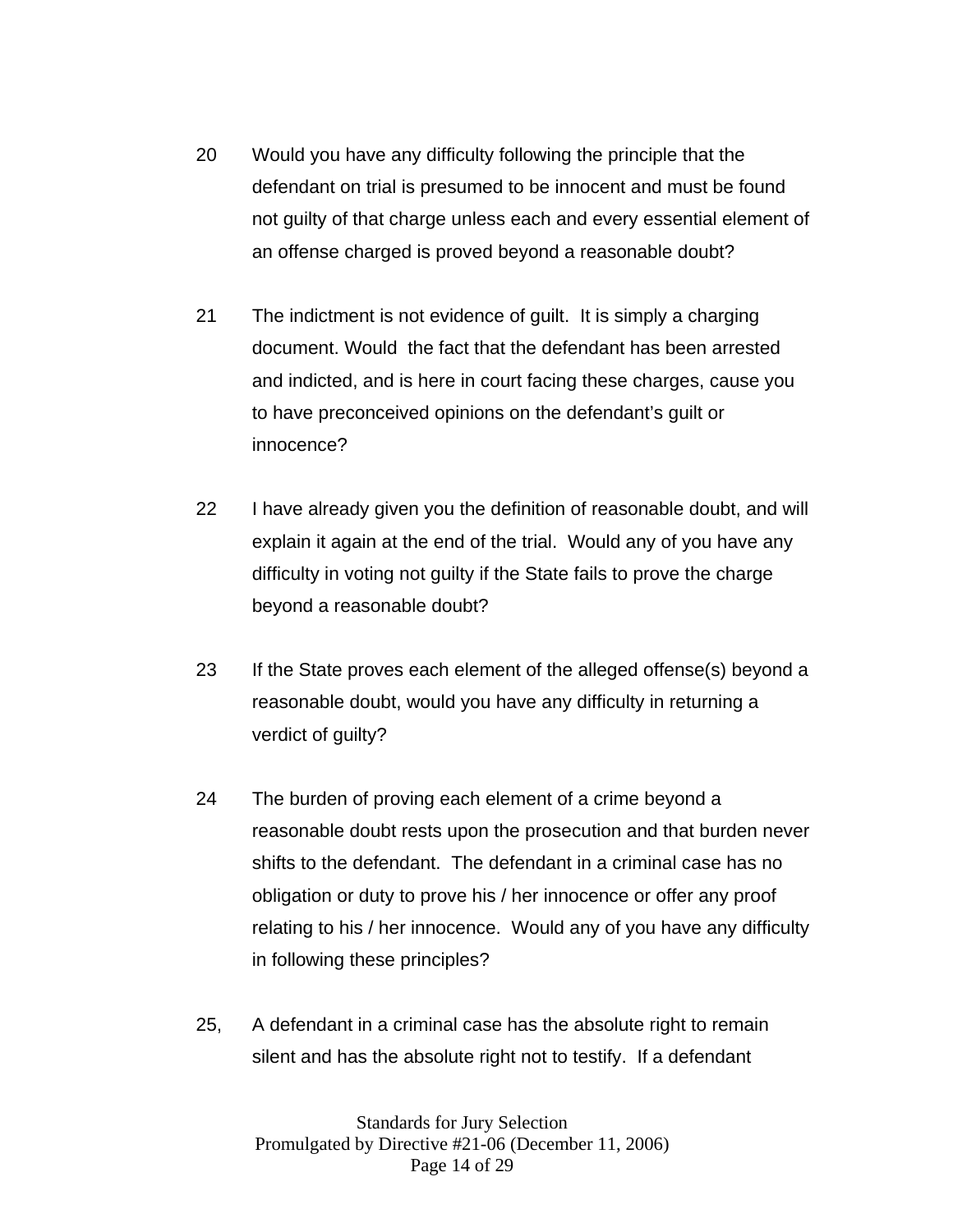- 20 Would you have any difficulty following the principle that the defendant on trial is presumed to be innocent and must be found not guilty of that charge unless each and every essential element of an offense charged is proved beyond a reasonable doubt?
- 21 The indictment is not evidence of guilt. It is simply a charging document. Would the fact that the defendant has been arrested and indicted, and is here in court facing these charges, cause you to have preconceived opinions on the defendant's guilt or innocence?
- 22 I have already given you the definition of reasonable doubt, and will explain it again at the end of the trial. Would any of you have any difficulty in voting not guilty if the State fails to prove the charge beyond a reasonable doubt?
- 23 If the State proves each element of the alleged offense(s) beyond a reasonable doubt, would you have any difficulty in returning a verdict of guilty?
- 24 The burden of proving each element of a crime beyond a reasonable doubt rests upon the prosecution and that burden never shifts to the defendant. The defendant in a criminal case has no obligation or duty to prove his / her innocence or offer any proof relating to his / her innocence. Would any of you have any difficulty in following these principles?
- 25, A defendant in a criminal case has the absolute right to remain silent and has the absolute right not to testify. If a defendant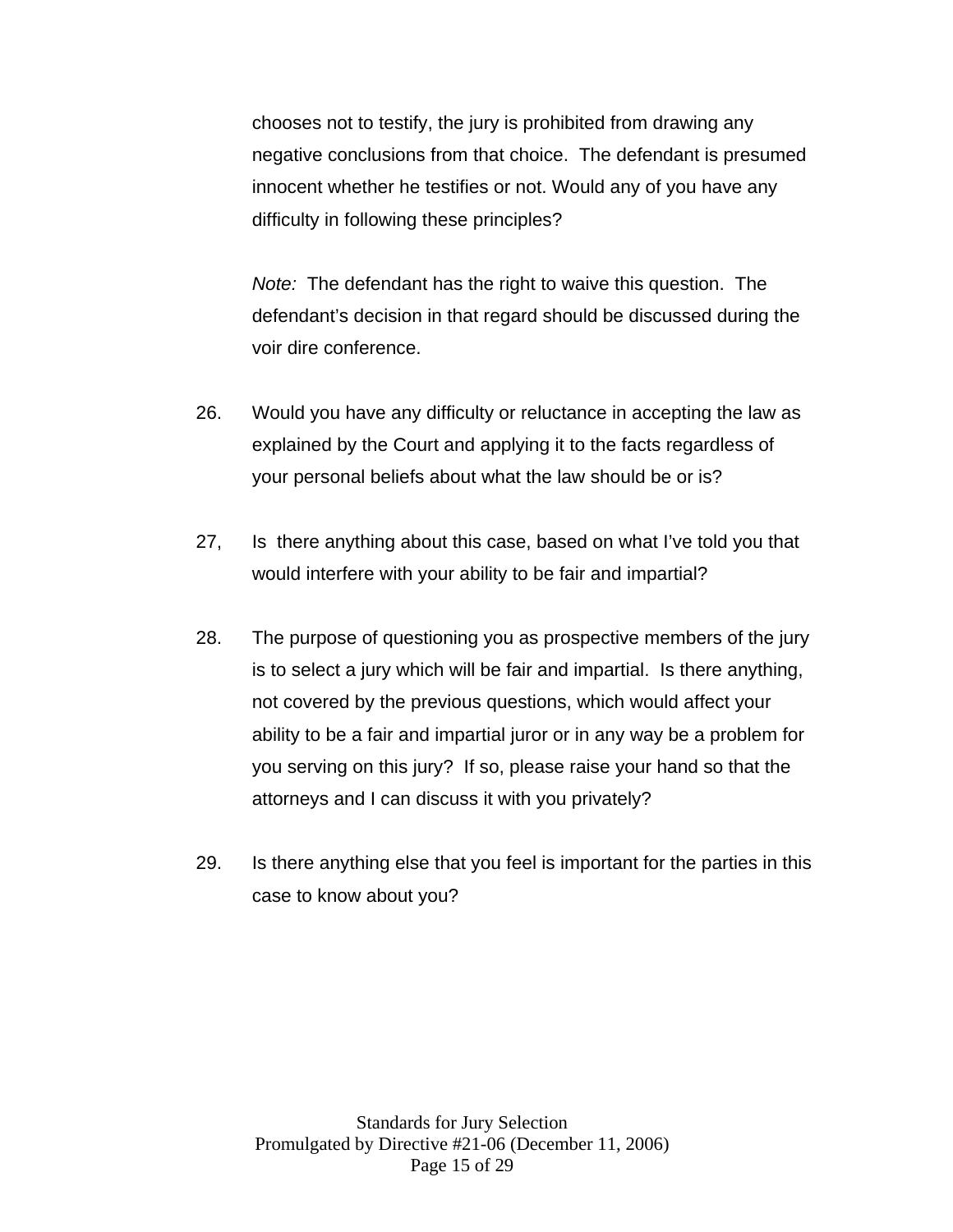chooses not to testify, the jury is prohibited from drawing any negative conclusions from that choice. The defendant is presumed innocent whether he testifies or not. Would any of you have any difficulty in following these principles?

*Note:* The defendant has the right to waive this question. The defendant's decision in that regard should be discussed during the voir dire conference.

- 26. Would you have any difficulty or reluctance in accepting the law as explained by the Court and applying it to the facts regardless of your personal beliefs about what the law should be or is?
- 27, Is there anything about this case, based on what I've told you that would interfere with your ability to be fair and impartial?
- 28. The purpose of questioning you as prospective members of the jury is to select a jury which will be fair and impartial. Is there anything, not covered by the previous questions, which would affect your ability to be a fair and impartial juror or in any way be a problem for you serving on this jury? If so, please raise your hand so that the attorneys and I can discuss it with you privately?
- 29. Is there anything else that you feel is important for the parties in this case to know about you?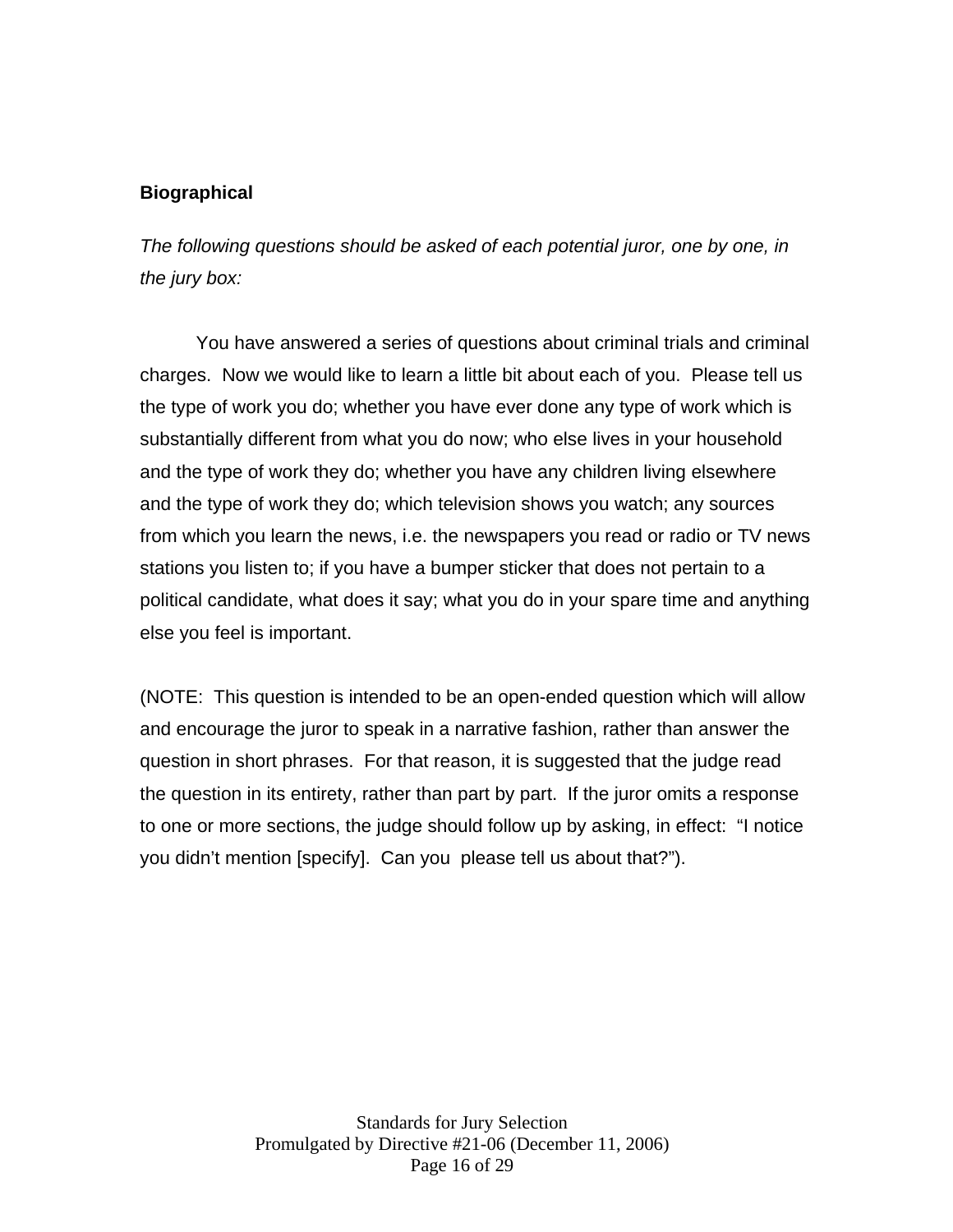# **Biographical**

*The following questions should be asked of each potential juror, one by one, in the jury box:* 

 You have answered a series of questions about criminal trials and criminal charges. Now we would like to learn a little bit about each of you. Please tell us the type of work you do; whether you have ever done any type of work which is substantially different from what you do now; who else lives in your household and the type of work they do; whether you have any children living elsewhere and the type of work they do; which television shows you watch; any sources from which you learn the news, i.e. the newspapers you read or radio or TV news stations you listen to; if you have a bumper sticker that does not pertain to a political candidate, what does it say; what you do in your spare time and anything else you feel is important.

(NOTE: This question is intended to be an open-ended question which will allow and encourage the juror to speak in a narrative fashion, rather than answer the question in short phrases. For that reason, it is suggested that the judge read the question in its entirety, rather than part by part. If the juror omits a response to one or more sections, the judge should follow up by asking, in effect: "I notice you didn't mention [specify]. Can you please tell us about that?").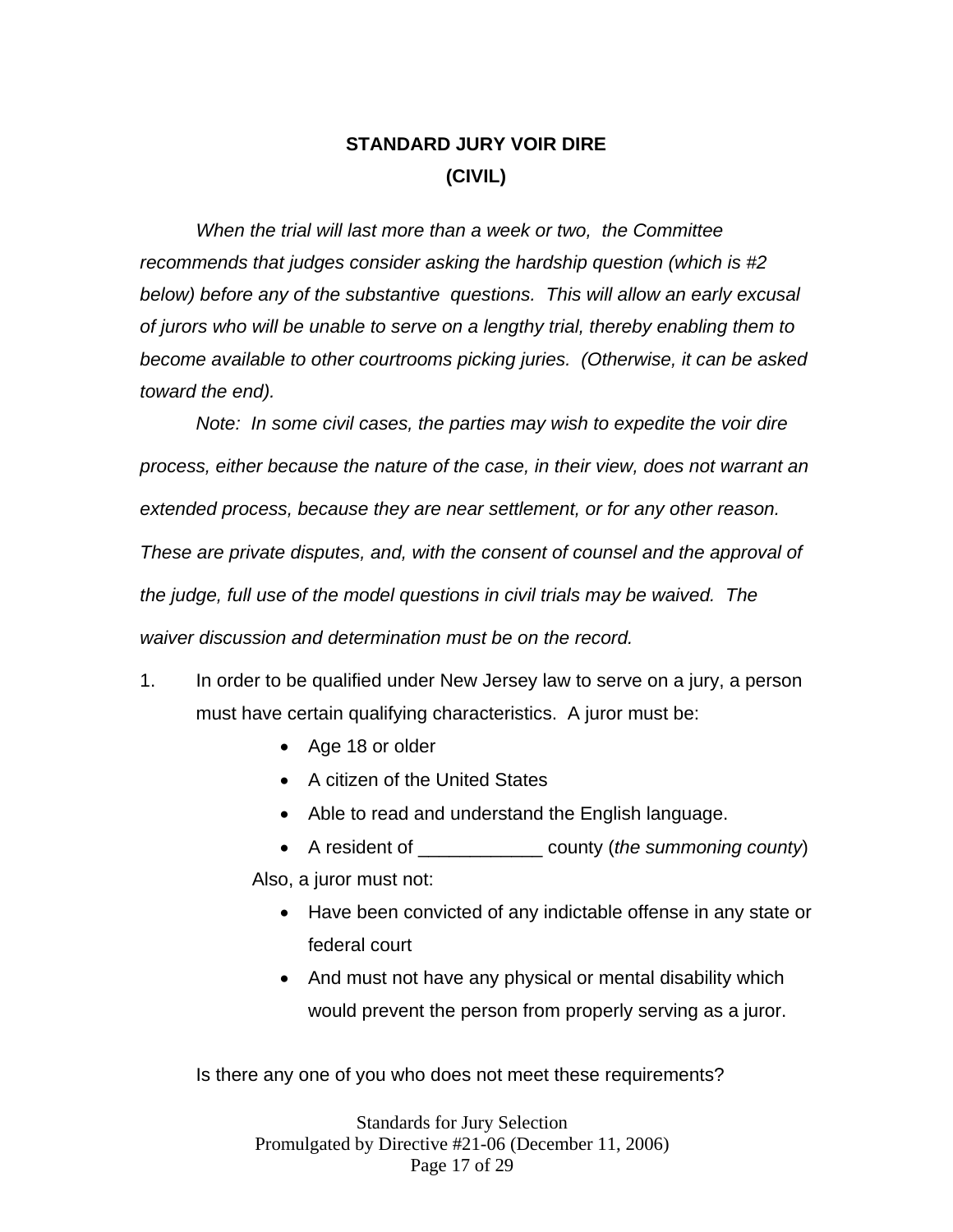# **STANDARD JURY VOIR DIRE (CIVIL)**

*When the trial will last more than a week or two, the Committee recommends that judges consider asking the hardship question (which is #2 below) before any of the substantive questions. This will allow an early excusal of jurors who will be unable to serve on a lengthy trial, thereby enabling them to become available to other courtrooms picking juries. (Otherwise, it can be asked toward the end).* 

 *Note: In some civil cases, the parties may wish to expedite the voir dire process, either because the nature of the case, in their view, does not warrant an extended process, because they are near settlement, or for any other reason. These are private disputes, and, with the consent of counsel and the approval of the judge, full use of the model questions in civil trials may be waived. The waiver discussion and determination must be on the record.* 

- 1. In order to be qualified under New Jersey law to serve on a jury, a person must have certain qualifying characteristics. A juror must be:
	- Age 18 or older
	- A citizen of the United States
	- Able to read and understand the English language.
	- A resident of \_\_\_\_\_\_\_\_\_\_\_\_ county (*the summoning county*)

Also, a juror must not:

- Have been convicted of any indictable offense in any state or federal court
- And must not have any physical or mental disability which would prevent the person from properly serving as a juror.

Is there any one of you who does not meet these requirements?

Standards for Jury Selection Promulgated by Directive #21-06 (December 11, 2006) Page 17 of 29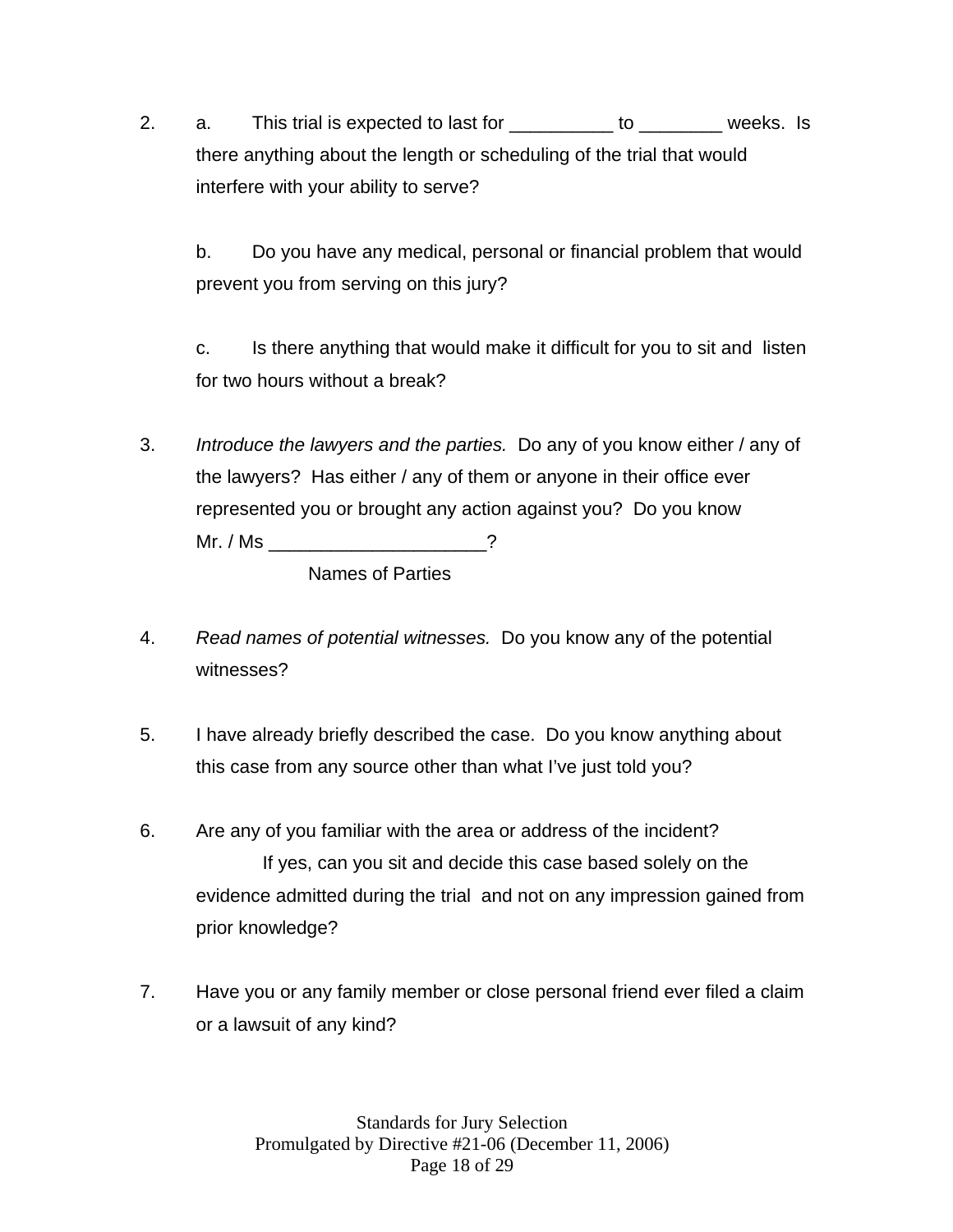2. a. This trial is expected to last for \_\_\_\_\_\_\_\_\_ to \_\_\_\_\_\_\_ weeks. Is there anything about the length or scheduling of the trial that would interfere with your ability to serve?

b. Do you have any medical, personal or financial problem that would prevent you from serving on this jury?

c. Is there anything that would make it difficult for you to sit and listen for two hours without a break?

3. *Introduce the lawyers and the parties.* Do any of you know either / any of the lawyers? Has either / any of them or anyone in their office ever represented you or brought any action against you? Do you know Mr. / Ms \_\_\_\_\_\_\_\_\_\_\_\_\_\_\_\_\_\_\_\_\_?

Names of Parties

- 4. *Read names of potential witnesses.* Do you know any of the potential witnesses?
- 5. I have already briefly described the case. Do you know anything about this case from any source other than what I've just told you?
- 6. Are any of you familiar with the area or address of the incident? If yes, can you sit and decide this case based solely on the evidence admitted during the trial and not on any impression gained from prior knowledge?
- 7. Have you or any family member or close personal friend ever filed a claim or a lawsuit of any kind?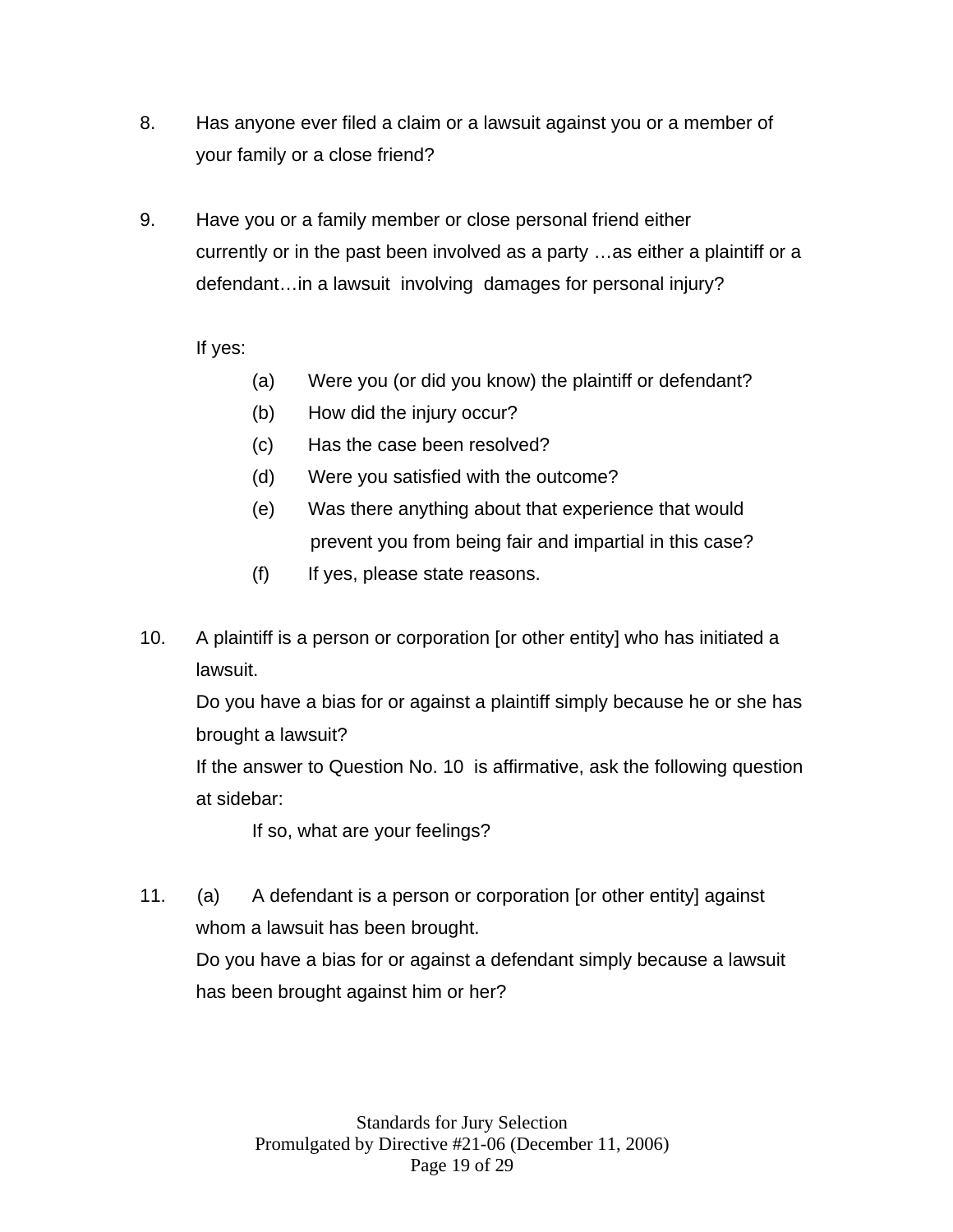- 8. Has anyone ever filed a claim or a lawsuit against you or a member of your family or a close friend?
- 9. Have you or a family member or close personal friend either currently or in the past been involved as a party …as either a plaintiff or a defendant…in a lawsuit involving damages for personal injury?

If yes:

- (a) Were you (or did you know) the plaintiff or defendant?
- (b) How did the injury occur?
- (c) Has the case been resolved?
- (d) Were you satisfied with the outcome?
- (e) Was there anything about that experience that would prevent you from being fair and impartial in this case?
- (f) If yes, please state reasons.
- 10. A plaintiff is a person or corporation [or other entity] who has initiated a lawsuit.

Do you have a bias for or against a plaintiff simply because he or she has brought a lawsuit?

If the answer to Question No. 10 is affirmative, ask the following question at sidebar:

If so, what are your feelings?

11. (a) A defendant is a person or corporation [or other entity] against whom a lawsuit has been brought. Do you have a bias for or against a defendant simply because a lawsuit has been brought against him or her?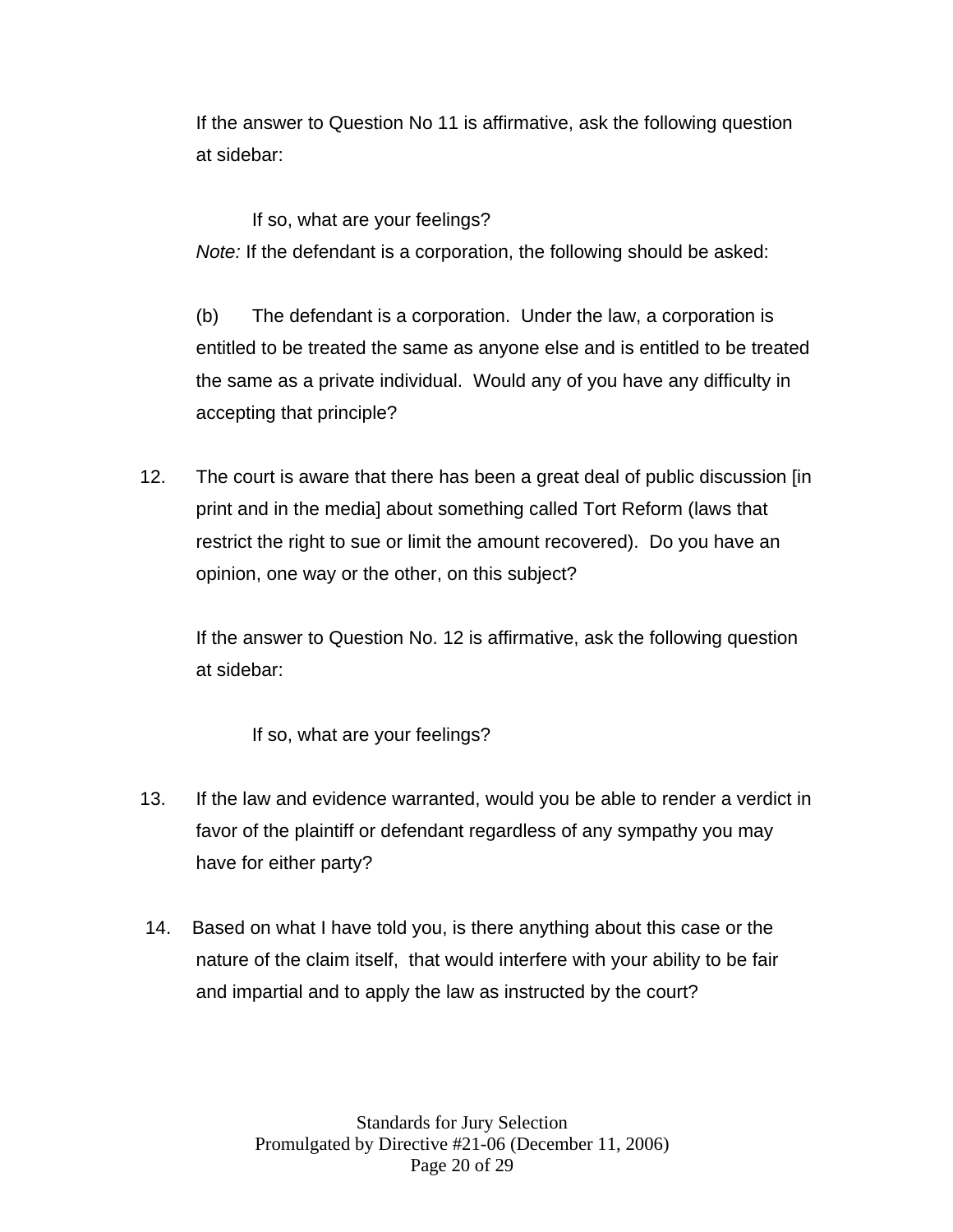If the answer to Question No 11 is affirmative, ask the following question at sidebar:

If so, what are your feelings? *Note:* If the defendant is a corporation, the following should be asked:

 (b) The defendant is a corporation. Under the law, a corporation is entitled to be treated the same as anyone else and is entitled to be treated the same as a private individual. Would any of you have any difficulty in accepting that principle?

12. The court is aware that there has been a great deal of public discussion [in print and in the media] about something called Tort Reform (laws that restrict the right to sue or limit the amount recovered). Do you have an opinion, one way or the other, on this subject?

If the answer to Question No. 12 is affirmative, ask the following question at sidebar:

If so, what are your feelings?

- 13. If the law and evidence warranted, would you be able to render a verdict in favor of the plaintiff or defendant regardless of any sympathy you may have for either party?
- 14. Based on what I have told you, is there anything about this case or the nature of the claim itself, that would interfere with your ability to be fair and impartial and to apply the law as instructed by the court?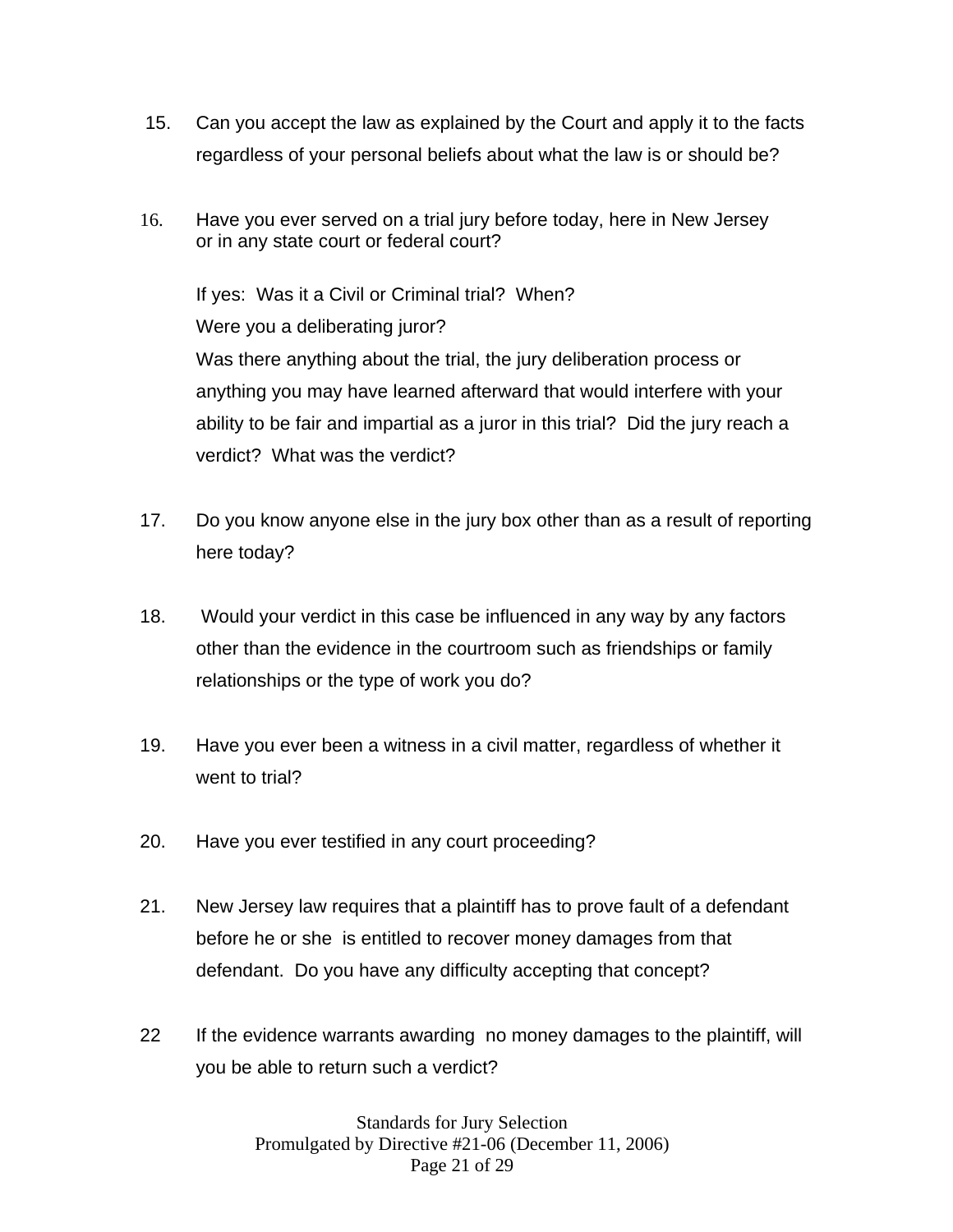- 15. Can you accept the law as explained by the Court and apply it to the facts regardless of your personal beliefs about what the law is or should be?
- 16.Have you ever served on a trial jury before today, here in New Jersey or in any state court or federal court?

If yes: Was it a Civil or Criminal trial? When? Were you a deliberating juror? Was there anything about the trial, the jury deliberation process or anything you may have learned afterward that would interfere with your ability to be fair and impartial as a juror in this trial? Did the jury reach a verdict? What was the verdict?

- 17. Do you know anyone else in the jury box other than as a result of reporting here today?
- 18. Would your verdict in this case be influenced in any way by any factors other than the evidence in the courtroom such as friendships or family relationships or the type of work you do?
- 19. Have you ever been a witness in a civil matter, regardless of whether it went to trial?
- 20. Have you ever testified in any court proceeding?
- 21. New Jersey law requires that a plaintiff has to prove fault of a defendant before he or she is entitled to recover money damages from that defendant. Do you have any difficulty accepting that concept?
- 22 If the evidence warrants awarding no money damages to the plaintiff, will you be able to return such a verdict?

Standards for Jury Selection Promulgated by Directive #21-06 (December 11, 2006) Page 21 of 29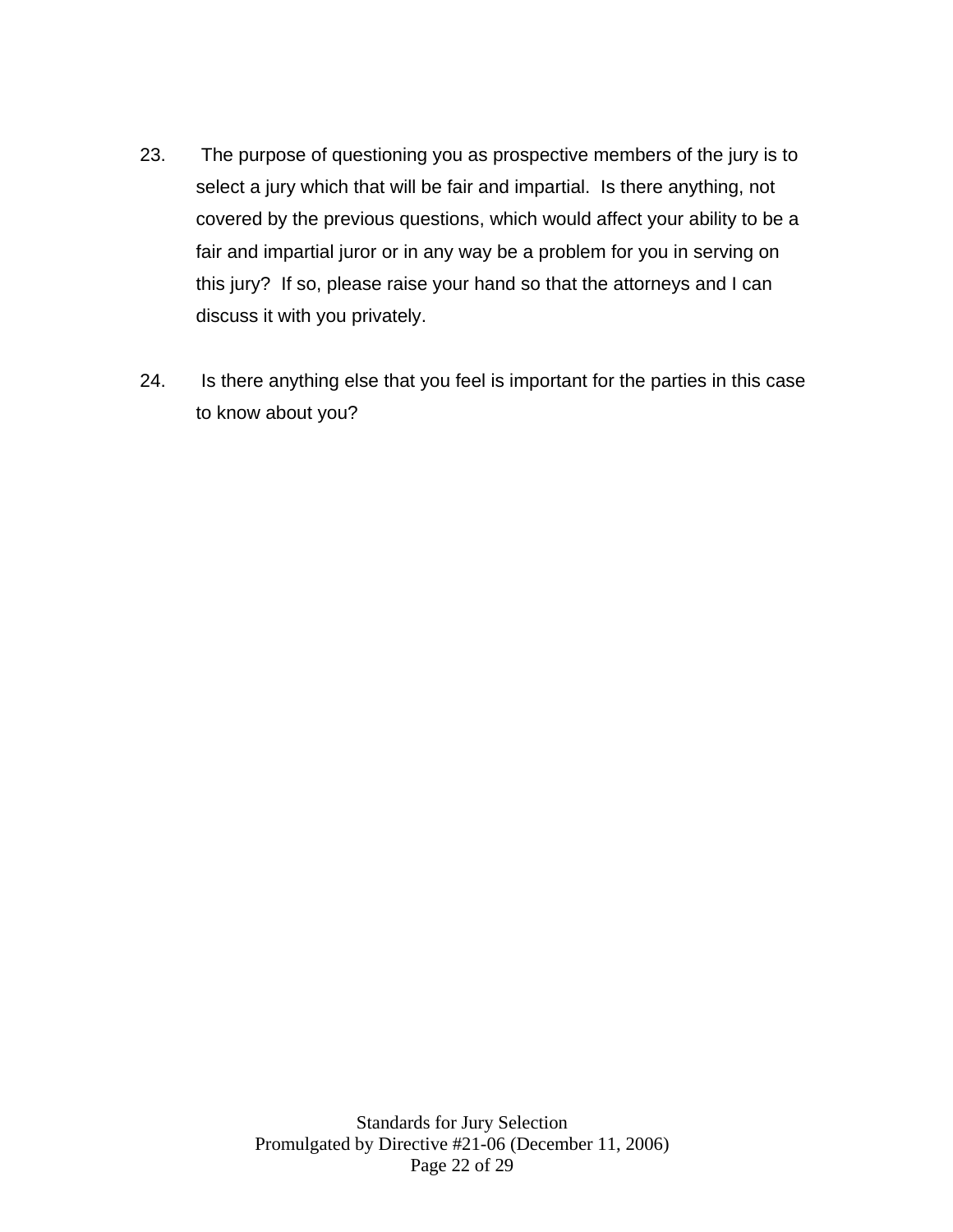- 23. The purpose of questioning you as prospective members of the jury is to select a jury which that will be fair and impartial. Is there anything, not covered by the previous questions, which would affect your ability to be a fair and impartial juror or in any way be a problem for you in serving on this jury? If so, please raise your hand so that the attorneys and I can discuss it with you privately.
- 24. Is there anything else that you feel is important for the parties in this case to know about you?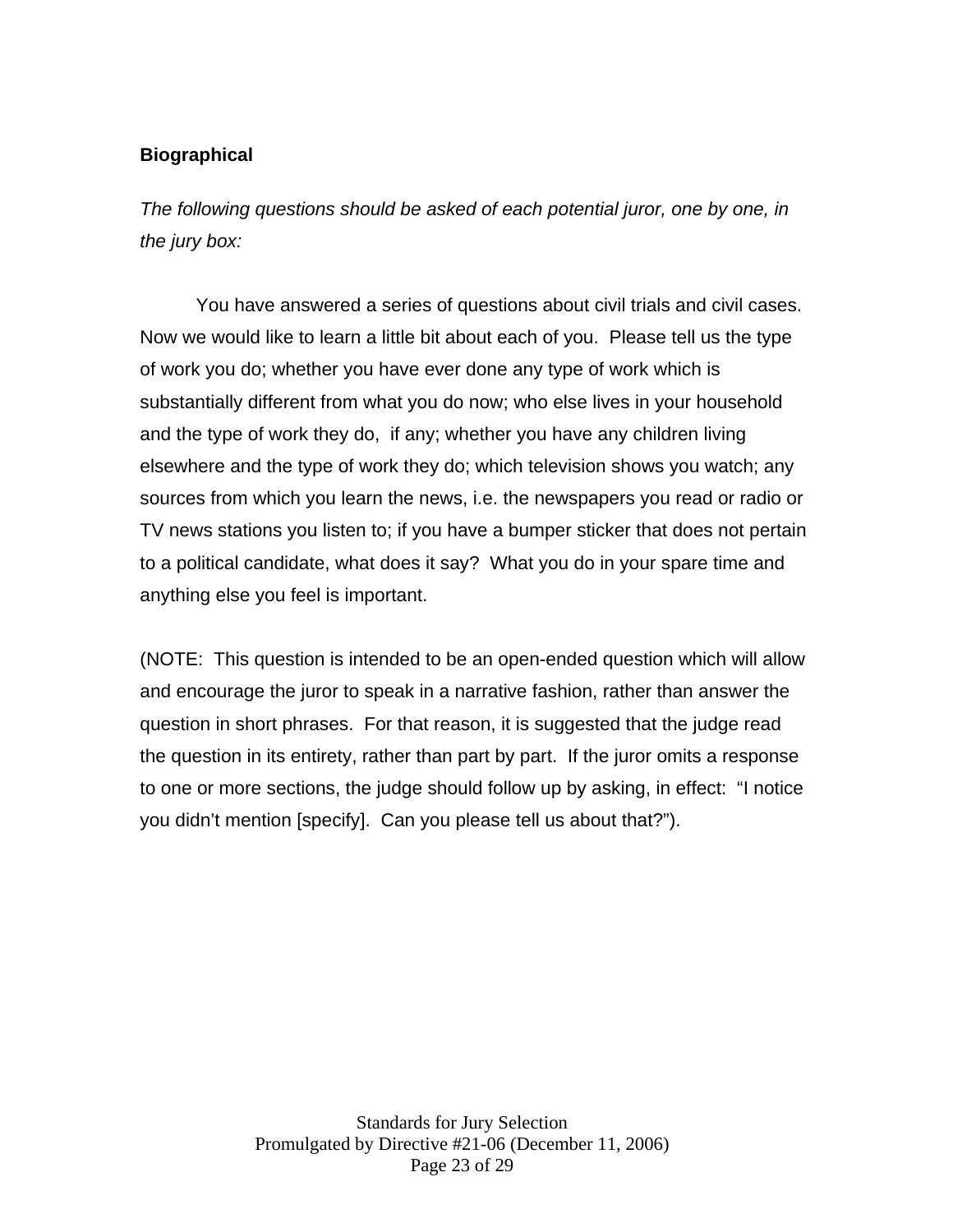# **Biographical**

*The following questions should be asked of each potential juror, one by one, in the jury box:* 

 You have answered a series of questions about civil trials and civil cases. Now we would like to learn a little bit about each of you. Please tell us the type of work you do; whether you have ever done any type of work which is substantially different from what you do now; who else lives in your household and the type of work they do, if any; whether you have any children living elsewhere and the type of work they do; which television shows you watch; any sources from which you learn the news, i.e. the newspapers you read or radio or TV news stations you listen to; if you have a bumper sticker that does not pertain to a political candidate, what does it say? What you do in your spare time and anything else you feel is important.

(NOTE: This question is intended to be an open-ended question which will allow and encourage the juror to speak in a narrative fashion, rather than answer the question in short phrases. For that reason, it is suggested that the judge read the question in its entirety, rather than part by part. If the juror omits a response to one or more sections, the judge should follow up by asking, in effect: "I notice you didn't mention [specify]. Can you please tell us about that?").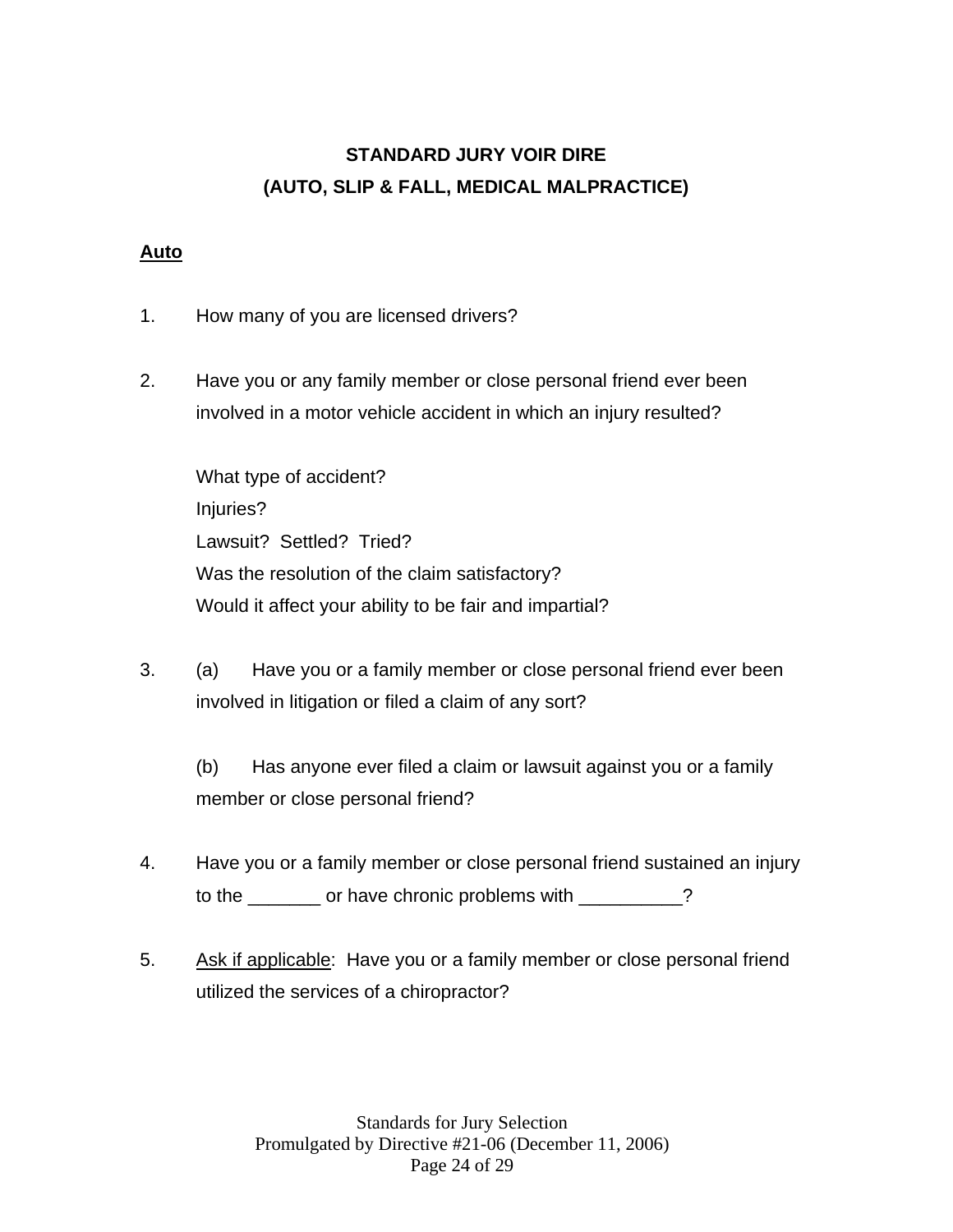# **STANDARD JURY VOIR DIRE (AUTO, SLIP & FALL, MEDICAL MALPRACTICE)**

## **Auto**

- 1. How many of you are licensed drivers?
- 2. Have you or any family member or close personal friend ever been involved in a motor vehicle accident in which an injury resulted?

 What type of accident? Injuries? Lawsuit? Settled? Tried? Was the resolution of the claim satisfactory? Would it affect your ability to be fair and impartial?

3. (a) Have you or a family member or close personal friend ever been involved in litigation or filed a claim of any sort?

 (b) Has anyone ever filed a claim or lawsuit against you or a family member or close personal friend?

- 4. Have you or a family member or close personal friend sustained an injury to the \_\_\_\_\_\_\_ or have chronic problems with \_\_\_\_\_\_\_\_?
- 5. Ask if applicable: Have you or a family member or close personal friend utilized the services of a chiropractor?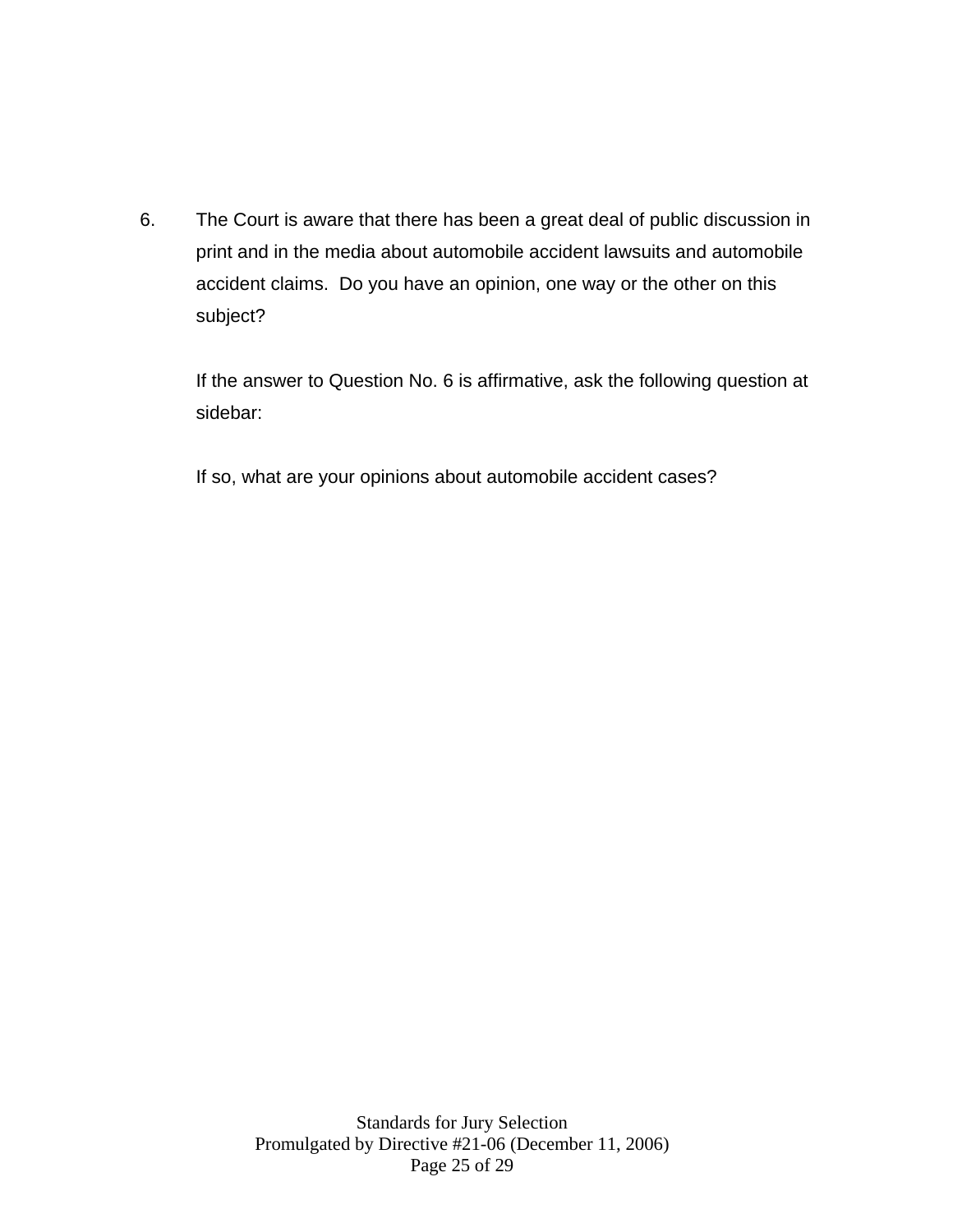6. The Court is aware that there has been a great deal of public discussion in print and in the media about automobile accident lawsuits and automobile accident claims. Do you have an opinion, one way or the other on this subject?

If the answer to Question No. 6 is affirmative, ask the following question at sidebar:

If so, what are your opinions about automobile accident cases?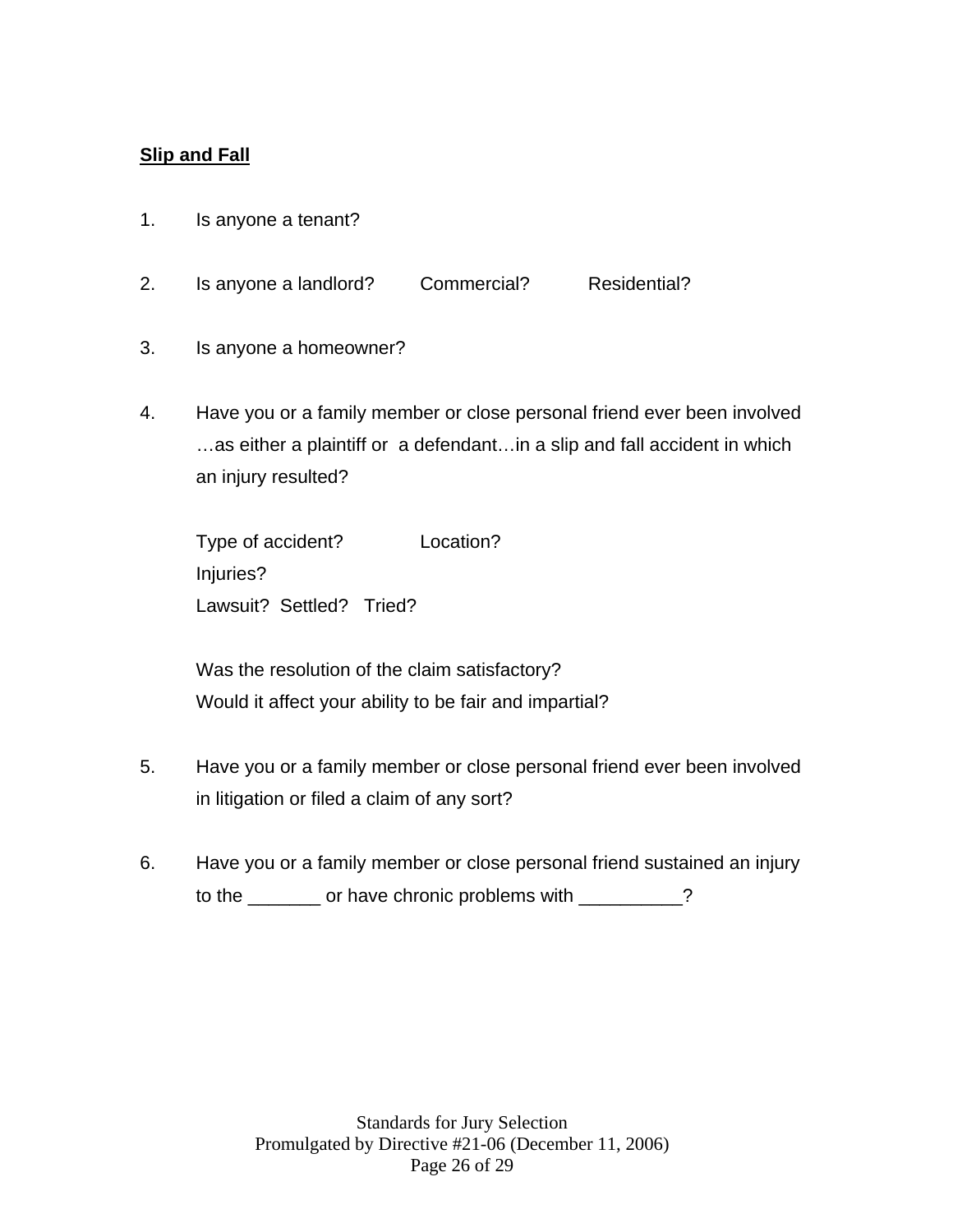## **Slip and Fall**

- 1. Is anyone a tenant?
- 2. Is anyone a landlord? Commercial? Residential?
- 3. Is anyone a homeowner?
- 4. Have you or a family member or close personal friend ever been involved …as either a plaintiff or a defendant…in a slip and fall accident in which an injury resulted?

 Type of accident? Location? Injuries? Lawsuit? Settled? Tried?

 Was the resolution of the claim satisfactory? Would it affect your ability to be fair and impartial?

- 5. Have you or a family member or close personal friend ever been involved in litigation or filed a claim of any sort?
- 6. Have you or a family member or close personal friend sustained an injury to the \_\_\_\_\_\_\_ or have chronic problems with \_\_\_\_\_\_\_\_?

Standards for Jury Selection Promulgated by Directive #21-06 (December 11, 2006) Page 26 of 29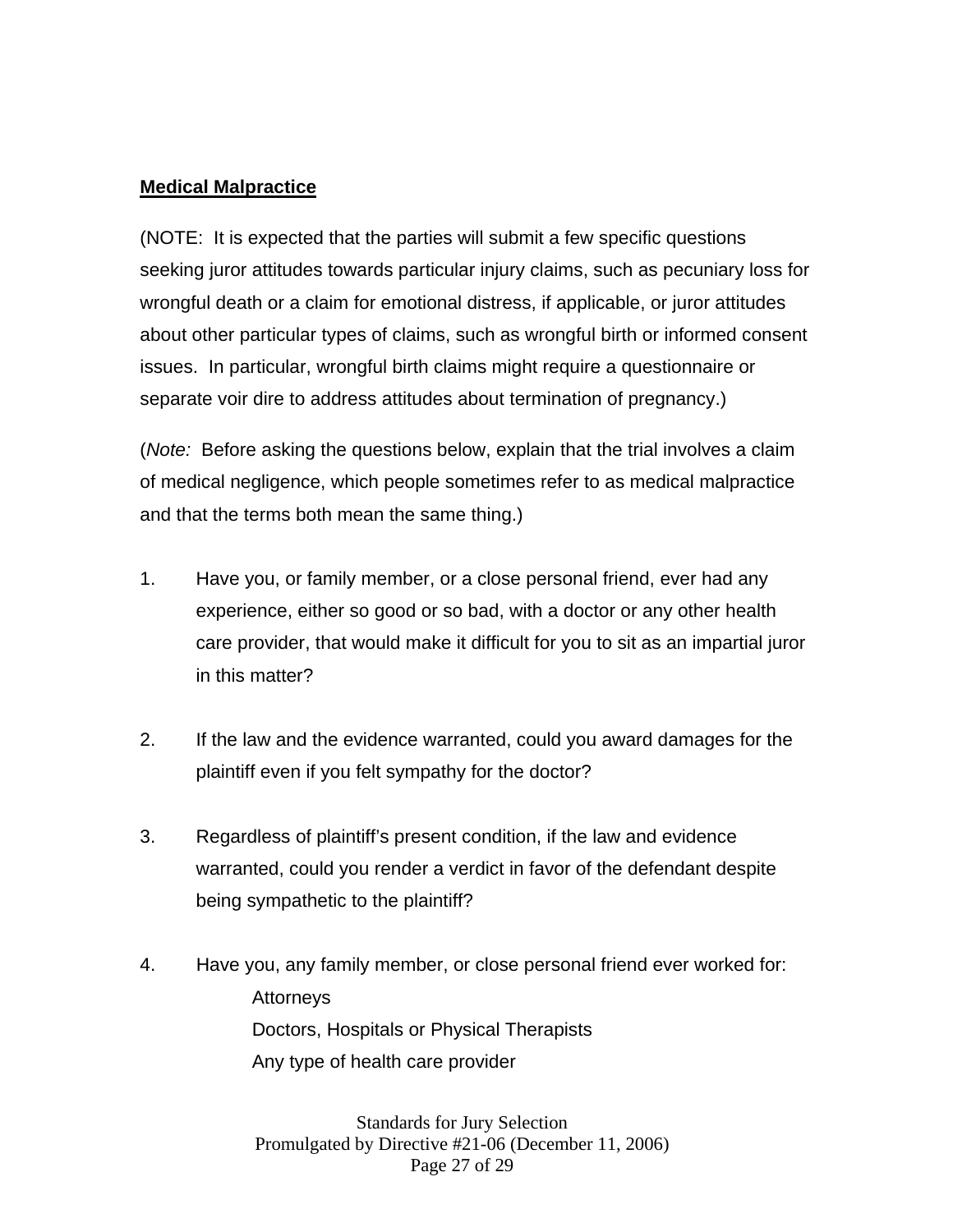### **Medical Malpractice**

(NOTE: It is expected that the parties will submit a few specific questions seeking juror attitudes towards particular injury claims, such as pecuniary loss for wrongful death or a claim for emotional distress, if applicable, or juror attitudes about other particular types of claims, such as wrongful birth or informed consent issues. In particular, wrongful birth claims might require a questionnaire or separate voir dire to address attitudes about termination of pregnancy.)

(*Note:* Before asking the questions below, explain that the trial involves a claim of medical negligence, which people sometimes refer to as medical malpractice and that the terms both mean the same thing.)

- 1. Have you, or family member, or a close personal friend, ever had any experience, either so good or so bad, with a doctor or any other health care provider, that would make it difficult for you to sit as an impartial juror in this matter?
- 2. If the law and the evidence warranted, could you award damages for the plaintiff even if you felt sympathy for the doctor?
- 3. Regardless of plaintiff's present condition, if the law and evidence warranted, could you render a verdict in favor of the defendant despite being sympathetic to the plaintiff?
- 4. Have you, any family member, or close personal friend ever worked for: Attorneys Doctors, Hospitals or Physical Therapists Any type of health care provider

Standards for Jury Selection Promulgated by Directive #21-06 (December 11, 2006) Page 27 of 29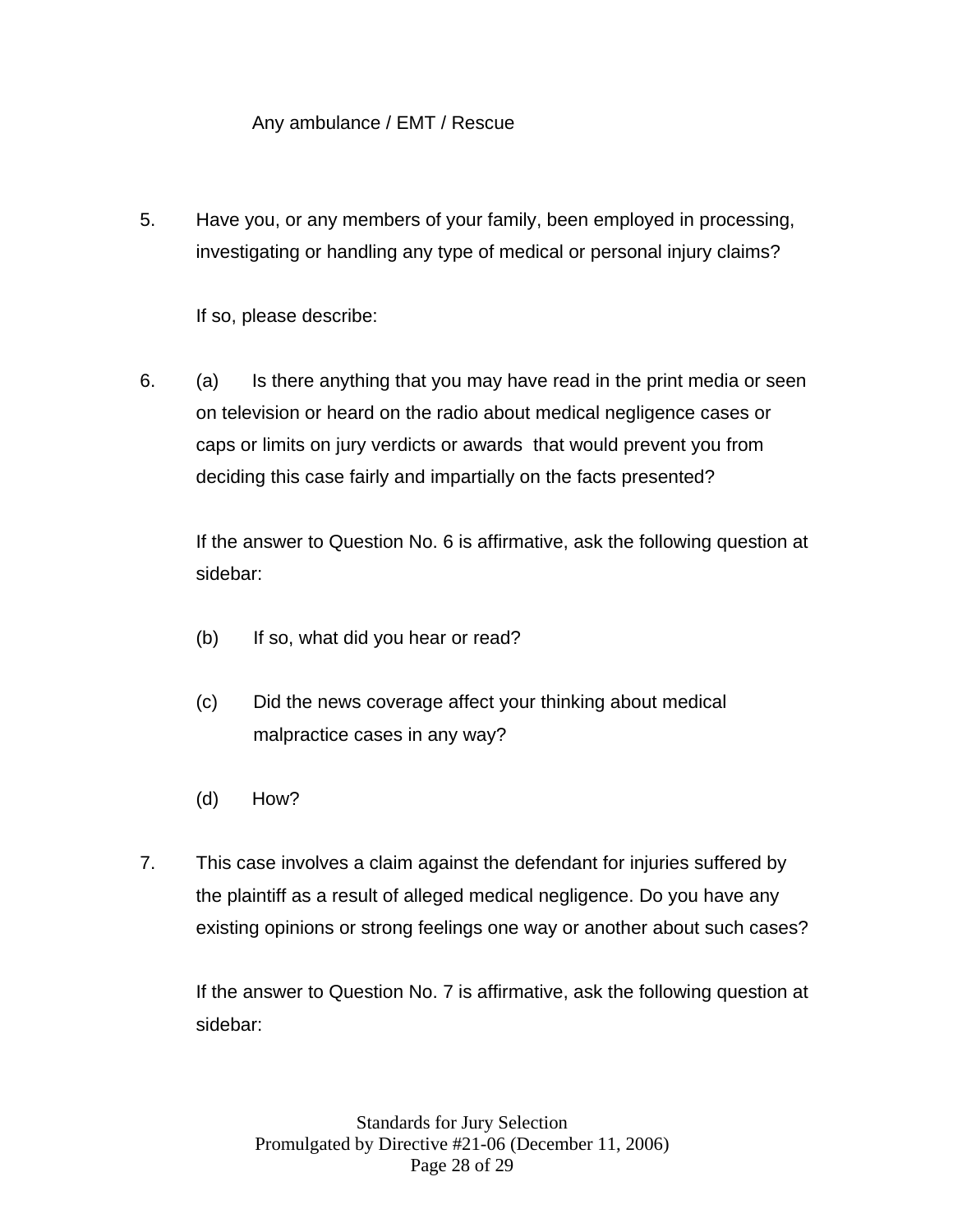## Any ambulance / EMT / Rescue

5. Have you, or any members of your family, been employed in processing, investigating or handling any type of medical or personal injury claims?

If so, please describe:

6. (a) Is there anything that you may have read in the print media or seen on television or heard on the radio about medical negligence cases or caps or limits on jury verdicts or awards that would prevent you from deciding this case fairly and impartially on the facts presented?

If the answer to Question No. 6 is affirmative, ask the following question at sidebar:

- (b) If so, what did you hear or read?
- (c) Did the news coverage affect your thinking about medical malpractice cases in any way?
- (d) How?
- 7. This case involves a claim against the defendant for injuries suffered by the plaintiff as a result of alleged medical negligence. Do you have any existing opinions or strong feelings one way or another about such cases?

 If the answer to Question No. 7 is affirmative, ask the following question at sidebar: